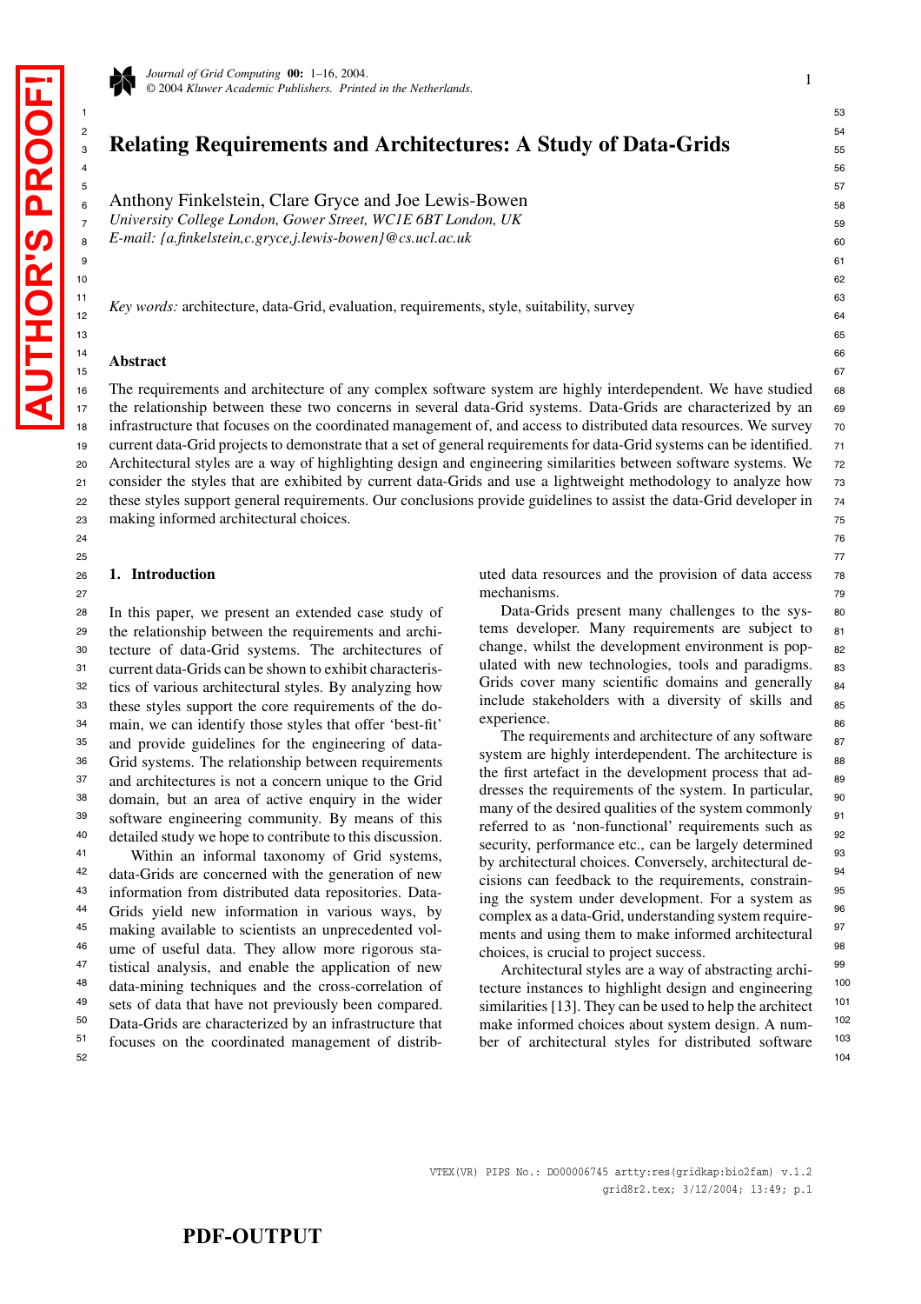

#### 2 and  $\sim$  54 **Relating Requirements and Architectures: A Study of Data-Grids**

1  $\blacksquare$ 

 $4<sub>6</sub>$  $57$ 

 $9$ 10  $62$ 

13 65

<sup>6</sup> Anthony Finkelstein, Clare Gryce and Joe Lewis-Bowen 7 59 *University College London, Gower Street, WC1E 6BT London, UK* 8 60 *E-mail: {a.finkelstein,c.gryce,j.lewis-bowen}@cs.ucl.ac.uk*

<sup>11</sup> *Key words:* architecture, data-Grid, evaluation, requirements, style, suitability, survey 12  $^{64}$ 

#### $14$  66  $15$ **Abstract**

16 The requirements and architecture of any complex software system are highly interdependent. We have studied 68 17 the relationship between these two concerns in several data-Grid systems. Data-Grids are characterized by an 69 18 infrastructure that focuses on the coordinated management of, and access to distributed data resources. We survey 70 19 current data-Grid projects to demonstrate that a set of general requirements for data-Grid systems can be identified. 71 20 72 Architectural styles are a way of highlighting design and engineering similarities between software systems. We 21 73 consider the styles that are exhibited by current data-Grids and use a lightweight methodology to analyze how 22 these styles support general requirements. Our conclusions provide guidelines to assist the data-Grid developer in  $\frac{74}{100}$ 23 75 making informed architectural choices.

е в селото на селото на 1916 година, селото на 1916 година, селото на 1924 година, селото на 1920 година, село<br>Населението на 1920 година, селото на 1920 година, селото на 1920 година, селото на 1920 година, селото на 192 25 декември – Синтерно Синтерно и Синтерно и Синтерно и Синтерно и Синтерно и Синтерно и Синтерно и Синтерно и<br>25 декември – Синтерно и Синтерно и Синтерно и Синтерно и Синтерно и Синтерно и Синтерно и Синтерно и Синтерно

#### **1. Introduction**

28 In this paper, we present an extended case study of Data-Grids present many challenges to the sys-29 the relationship between the requirements and archi-<br>29 the relationship between the requirements and archi-<sup>30</sup> tecture of data-Grid systems. The architectures of change, whilst the development environment is pop- <sub>82</sub> <sup>31</sup> current data-Grids can be shown to exhibit characteris-<br><sup>31</sup> current data-Grids can be shown to exhibit characteris- $32$  tics of various architectural styles. By analyzing how **the state of the state of various** and generally  $_{84}$ 33 these styles support the core requirements of the do-<br>33 these styles support the core requirements of the do-<br>33 the stateholders with a diversity of skills and  $_{85}$  $34$  main, we can identify those styles that offer 'best-fit'  $\frac{exprime}{}$ . 35 and provide guidelines for the engineering of data-<br>35 and provide guidelines for the engineering of data-36 Grid systems. The relationship between requirements system are lightly interactional ric architecture is as  $\frac{37}{28}$  and architectures is not a concern unique to the Grid  $\frac{389}{28}$  and  $\frac{389}{28}$  and  $\frac{389}{28}$ 38 domain, but an area of active enquiry in the wider  $\frac{1}{2}$  has the decided aughtics of the system. In parameters 39 software engineering community. By means of this  $\frac{1}{12}$  is determined to as 'non-functional' requirements such as <sup>40</sup> detailed study we hope to contribute to this discussion. <sup>41</sup> Within an informal taxonomy of Grid systems, we replied the conversely architectural de-<sup>42</sup> data-Grids are concerned with the generation of new cisions can feedback to the requirements constrain-<sup>43</sup> information from distributed data repositories. Data-<br>ing the system under development. For a system as  $^{95}$ <sup>44</sup> Grids yield new information in various ways, by complex as a data-Grid understanding system require-<sup>45</sup> making available to scientists an unprecedented vol-<br>ments and using them to make informed architectural  $^{97}$ <sup>46</sup> ume of useful data. They allow more rigorous sta-<br><sup>98</sup> <sup>47</sup> tistical analysis, and enable the application of new Architectural styles are a way of abstracting archi-<sup>48</sup> data-mining techniques and the cross-correlation of tecture instances to highlight design and engineering <sup>100</sup> <sup>49</sup> sets of data that have not previously been compared.  $\sin$  similarities [13]. They can be used to help the architect  $\frac{101}{2}$  $50$  Data-Grids are characterized by an infrastructure that make informed choices about system design. A num- $102$ <sup>51</sup> focuses on the coordinated management of distrib-<br>ber of architectural styles for distributed software<sup>103</sup> 52 104

26 1. Introduction **28 a.m.** 2015 22 and the provision of data access 28 27 mechanisms. The mechanisms of the contract of the contract of the contract of the contract of the contract of the contract of the contract of the contract of the contract of the contract of the contract of the contract mechanisms.

> Data-Grids present many challenges to the systems developer. Many requirements are subject to change, whilst the development environment is populated with new technologies, tools and paradigms. Grids cover many scientific domains and generally include stakeholders with a diversity of skills and experience.

The requirements and architecture of any software system are highly interdependent. The architecture is the first artefact in the development process that addresses the requirements of the system. In particular, many of the desired qualities of the system commonly referred to as 'non-functional' requirements such as security, performance etc., can be largely determined by architectural choices. Conversely, architectural decisions can feedback to the requirements, constraining the system under development. For a system as complex as a data-Grid, understanding system requirements and using them to make informed architectural choices, is crucial to project success.

Architectural styles are a way of abstracting architecture instances to highlight design and engineering similarities [13]. They can be used to help the architect make informed choices about system design. A number of architectural styles for distributed software

VTEX(VR) PIPS No.: DO00006745 artty:res(gridkap:bio2fam) v.1.2

grid8r2.tex; 3/12/2004; 13:49; p.1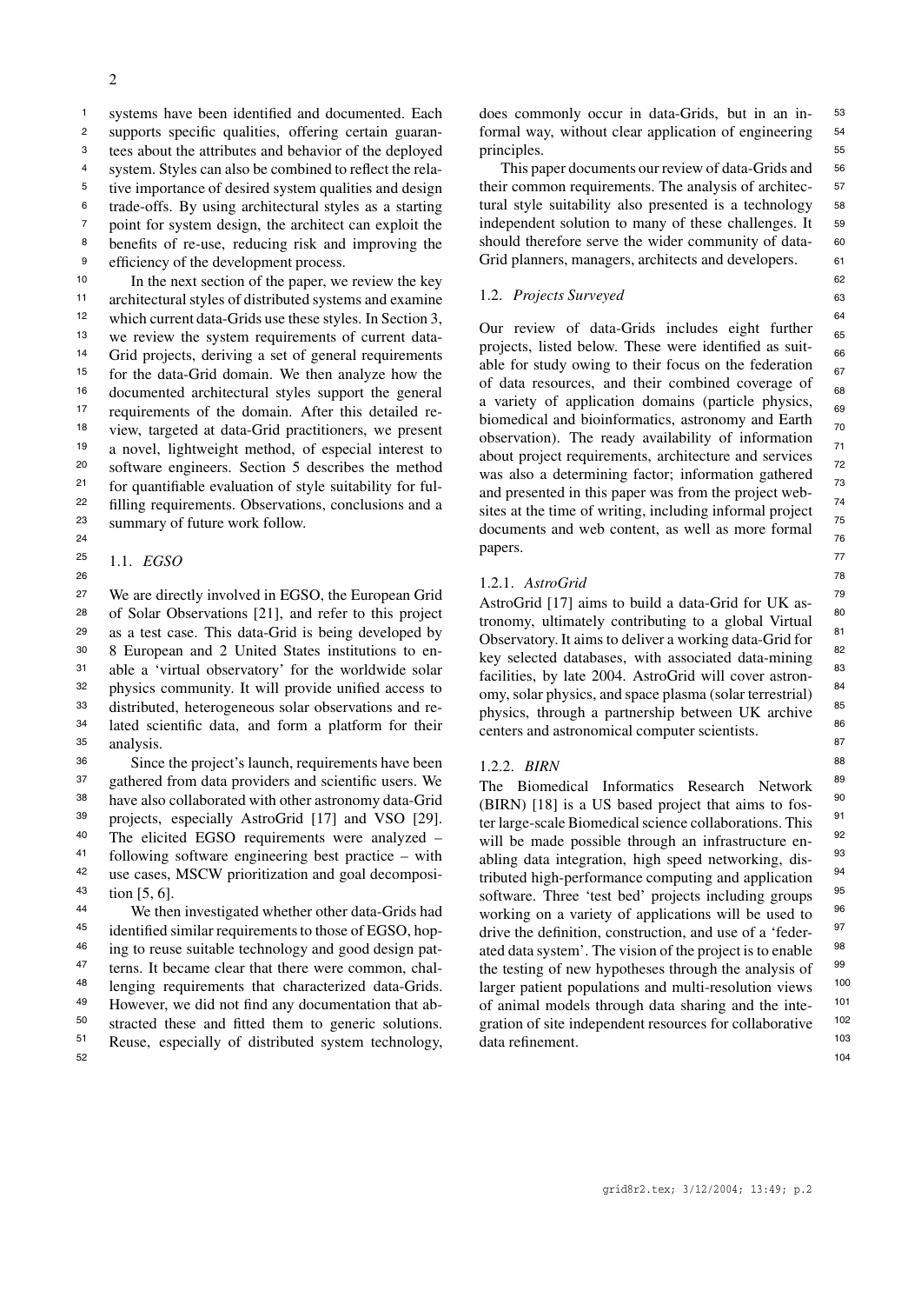<sup>1</sup> systems have been identified and documented. Each does commonly occur in data-Grids, but in an in-<sup>2</sup> supports specific qualities, offering certain guaran-<br>
formal way, without clear application of engineering <sup>54</sup> <sup>3</sup> tees about the attributes and behavior of the deployed principles. <sup>55</sup> 4 56 system. Styles can also be combined to reflect the rela-<sup>5</sup> tive importance of desired system qualities and design their common requirements. The analysis of architec- <sup>57</sup> <sup>6</sup> trade-offs. By using architectural styles as a starting tural style suitability also presented is a technology <sup>58</sup> <sup>7</sup> point for system design, the architect can exploit the independent solution to many of these challenges. It <sup>59</sup> <sup>8</sup> benefits of re-use, reducing risk and improving the should therefore serve the wider community of datatrade-offs. By using architectural styles as a starting efficiency of the development process.

<sup>10</sup> In the next section of the paper, we review the key <sup>62</sup> <sup>11</sup> architectural styles of distributed systems and examine <sup>1.2</sup> *Projects Surveyed* 63 <sup>12</sup> which current data-Grids use these styles. In Section 3,  $\alpha_{\text{tot}}$  antions of data Grids, includes sight, for the  $\alpha$ <sup>64</sup> 13 we review the system requirements of current data-<br> $\frac{65}{100}$  and  $\frac{1}{100}$  and  $\frac{1}{100}$  and  $\frac{1}{100}$  and  $\frac{1}{100}$  and  $\frac{1}{100}$  and  $\frac{1}{100}$  and  $\frac{1}{100}$  and  $\frac{1}{100}$  and  $\frac{1}{100}$  and  $\frac{1}{$ 14 Grid projects, deriving a set of general requirements by the formation that formed with  $\frac{1}{2}$  for the formation of the formation of the formation of the formation <sup>15</sup> for the data-Grid domain. We then analyze how the  $\frac{1}{2}$  for the securities and their combined equations of  $\frac{1}{67}$ 16 documented architectural styles support the general  $\frac{1}{2}$  a vericity of employment contribution  $\frac{1}{2}$ 17 requirements of the domain. After this detailed re-<sup>18</sup> view, targeted at data-Grid practitioners, we present  $\frac{18}{100}$  reservation). The ready availability of information 19 a novel, lightweight method, of especial interest to  $\frac{1}{2}$  a novel interests architecture and services  $\frac{1}{2}$ <sup>20</sup> software engineers. Section 5 describes the method  $\frac{1}{2}$  and a determining factor: information gathered <sup>21</sup> for quantifiable evaluation of style suitability for ful-<br> $\frac{1}{2}$  and presented in this paper was from the project web-<sup>22</sup> filling requirements. Observations, conclusions and a sites at the time of writing including informal project <sup>74</sup> 23 summary of future work follow.  $\frac{1}{25}$   $\frac{1}{25}$   $\frac{1}{25}$   $\frac{1}{25}$   $\frac{1}{25}$   $\frac{1}{25}$   $\frac{1}{25}$   $\frac{1}{25}$   $\frac{1}{25}$   $\frac{1}{25}$   $\frac{1}{25}$   $\frac{1}{25}$   $\frac{1}{25}$   $\frac{1}{25}$   $\frac{1}{25}$   $\frac{1}{25}$   $\frac{1}{25}$ 

<sup>27</sup> We are directly involved in EGSO, the European Grid  $\Lambda$  stroGrid [17] eims to build a data Grid for UK as  $^{79}$ 28 of Solar Observations [21], and refer to this project<br>transmit ultimately contributing to a global Virtual as a test case. This data-Grid is being developed by  $\frac{1}{2}$  Observatory It aims to deliver a working data-Grid for  $\frac{1}{2}$  $\frac{30}{8}$  8 European and 2 United States institutions to en-<br>bey selected databases with associated data-mining 31 able a 'virtual observatory' for the worldwide solar  $\frac{1}{20}$  and  $\frac{1}{2004}$  at  $\frac{1}{2004}$  at  $\frac{1}{2004}$  and  $\frac{1}{2004}$  and  $\frac{1}{2004}$  at  $\frac{1}{2004}$  at  $\frac{1}{2004}$  at  $\frac{1}{2004}$  at  $\frac{1}{2004}$  at  $\frac{$  $^{32}$  physics community. It will provide unified access to  $^{64}$  omy solar physics and space plasma (solar terrestrial)  $^{84}$ <sup>85</sup> distributed, heterogeneous solar observations and re-<br>physics through a partnership between UK archive  $^{34}$  lated scientific data, and form a platform for their  $\frac{1}{2}$  centers and astronomical computer scientists  $^{86}$  $35$  analysis.  $87$ analysis.

<sup>36</sup> Since the project's launch, requirements have been 1.2.2. *BIRN* 88 <sup>37</sup> gathered from data providers and scientific users. We The Biomedical Informatics Research Network<sup>89</sup> <sup>38</sup> have also collaborated with other astronomy data-Grid (BIRN) [18] is a US based project that aims to fos-<sup>39</sup> projects, especially AstroGrid [17] and VSO [29].  $\qquad$  ter large-scale Biomedical science collaborations. This <sup>40</sup> The elicited EGSO requirements were analyzed – will be made possible through an infrastructure en-<sup>41</sup> following software engineering best practice – with abling data integration, high speed networking, dis-<sup>42</sup> use cases, MSCW prioritization and goal decomposi-<br>tributed high-performance computing and application  $^{94}$ tion [5, 6].

<sup>45</sup> identified similar requirements to those of EGSO, hop-<br>drive the definition, construction, and use of a 'feder-<sup>46</sup> ing to reuse suitable technology and good design pat-<br>ated data system'. The vision of the project is to enable <sup>98</sup> <sup>47</sup> terns. It became clear that there were common, chal-<br>the testing of new hypotheses through the analysis of  $\frac{99}{2}$ <sup>48</sup> lenging requirements that characterized data-Grids. larger patient populations and multi-resolution views <sup>100</sup> <sup>49</sup> However, we did not find any documentation that ab- of animal models through data sharing and the inte-  $101$ <sup>50</sup> stracted these and fitted them to generic solutions. gration of site independent resources for collaborative <sup>102</sup> <sup>51</sup> Reuse, especially of distributed system technology, data refinement. 52 104 stracted these and fitted them to generic solutions.

does commonly occur in data-Grids, but in an informal way, without clear application of engineering principles.

<sup>9</sup> efficiency of the development process. Grid planners, managers, architects and developers. <sup>61</sup> This paper documents our review of data-Grids and their common requirements. The analysis of architecindependent solution to many of these challenges. It should therefore serve the wider community of data-

#### 1.2. *Projects Surveyed*

24 and the contract of the contract of the contract of the contract of the contract of the contract of the contract of the contract of the contract of the contract of the contract of the contract of the contract of the con Our review of data-Grids includes eight further projects, listed below. These were identified as suitable for study owing to their focus on the federation of data resources, and their combined coverage of a variety of application domains (particle physics, biomedical and bioinformatics, astronomy and Earth observation). The ready availability of information about project requirements, architecture and services was also a determining factor; information gathered and presented in this paper was from the project websites at the time of writing, including informal project documents and web content, as well as more formal papers.

#### 26 and the contract of the contract of the contract of the contract of the contract of the contract of the contract of the contract of the contract of the contract of the contract of the contract of the contract of the co 1.2.1. *AstroGrid*

AstroGrid [17] aims to build a data-Grid for UK astronomy, ultimately contributing to a global Virtual Observatory. It aims to deliver a working data-Grid for key selected databases, with associated data-mining facilities, by late 2004. AstroGrid will cover astronomy, solar physics, and space plasma (solar terrestrial) physics, through a partnership between UK archive centers and astronomical computer scientists.

#### 1.2.2. *BIRN*

<sup>43</sup> tion [5, 6]. Software. Three 'test bed' projects including groups<sup>95</sup> <sup>44</sup> We then investigated whether other data-Grids had working on a variety of applications will be used to  $96$ The Biomedical Informatics Research Network (BIRN) [18] is a US based project that aims to foster large-scale Biomedical science collaborations. This will be made possible through an infrastructure enabling data integration, high speed networking, distributed high-performance computing and application working on a variety of applications will be used to drive the definition, construction, and use of a 'federated data system'. The vision of the project is to enable the testing of new hypotheses through the analysis of larger patient populations and multi-resolution views of animal models through data sharing and the intedata refinement.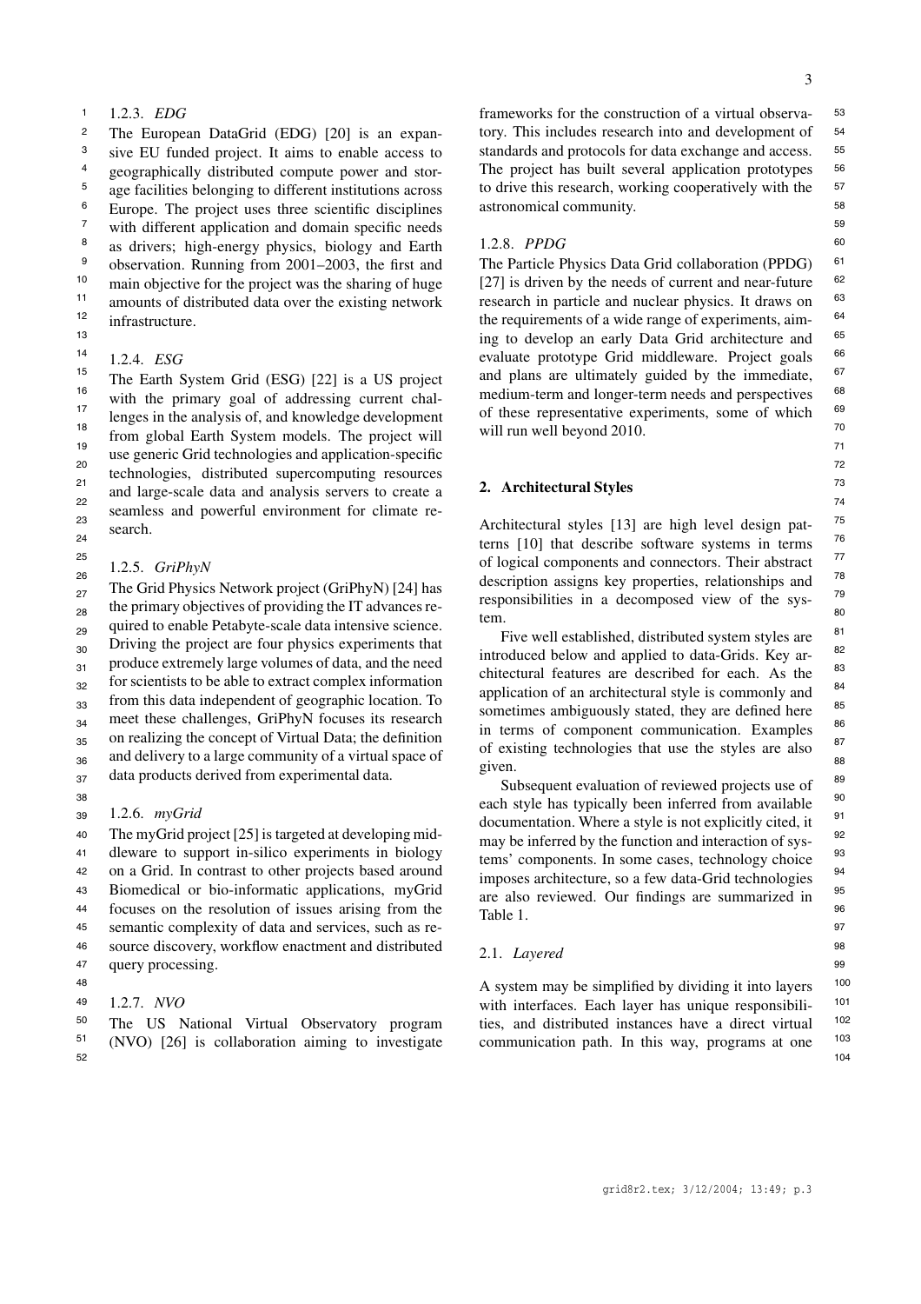#### 1.2.3. *EDG*

<sup>3</sup> sive EU funded project. It aims to enable access to standards and protocols for data exchange and access. <sup>55</sup> <sup>4</sup> geographically distributed compute power and stor-<br>The project has built several application prototypes <sup>56</sup> <sup>5</sup> age facilities belonging to different institutions across to drive this research, working cooperatively with the <sup>57</sup> <sup>6</sup> Europe. The project uses three scientific disciplines astronomical community. <sup>7</sup> with different application and domain specific needs <sup>59</sup> <sup>8</sup> as drivers; high-energy physics, biology and Earth 1.2.8. *PPDG* 60 <sup>9</sup> observation. Running from 2001–2003, the first and The Particle Physics Data Grid collaboration (PPDG) <sup>61</sup> <sup>10</sup> main objective for the project was the sharing of huge [27] is driven by the needs of current and near-future  $62$ <sup>11</sup> amounts of distributed data over the existing network research in particle and nuclear physics. It draws on  $63$ <sup>12</sup> infrastructure. <sup>64</sup> for the requirements of a wide range of experiments, aim-The European DataGrid (EDG) [20] is an expansive EU funded project. It aims to enable access to geographically distributed compute power and storage facilities belonging to different institutions across observation. Running from 2001–2003, the first and amounts of distributed data over the existing network infrastructure.

#### 1.2.4. *ESG*

<sup>16</sup> with the primary goal of addressing current chal- medium-term and longer-term needs and perspectives <sup>68</sup> <sup>17</sup> lenges in the analysis of, and knowledge development of these representative experiments, some of which  $69$ <sup>18</sup> from global Earth System models. The project will will run well beyond 2010. <sup>19</sup> use generic Grid technologies and application-specific  $\frac{71}{20}$  $\frac{20}{20}$  technologies, distributed supercomputing resources <sup>21</sup> and large-scale data and analysis servers to create a **2. Architectural Styles**  $\frac{73}{24}$  $\frac{22}{\epsilon}$  seamless and powerful environment for climate re-<sup>23</sup> search.<sup>75</sup><br>Report of the styles [13] are high level design pat-The Earth System Grid (ESG) [22] is a US project with the primary goal of addressing current challenges in the analysis of, and knowledge development search.

#### 1.2.5. *GriPhyN*

 $^{27}$  The Grid Hystes Network project (GHT HyT) [27] has<br>the primary objectives of providing the IT advances re  $_{28}$  the primary objectives of providing the IT advances re-<br> $_{\text{tmm}}$  $\frac{29}{2}$  quica to enable I classic scale data intensive selection.<br>
Five well established, distributed system styles are  $\frac{81}{2}$  $\frac{30}{20}$  Briving the project are four physics experiments that<br>produced below and applied to data-Grids. Key ar- $\frac{31}{21}$  product extremely large volumes of data, and the need<br>for equality to be able to extract complex information chitectural features are described for each. As the  $\frac{32}{2}$  for scientists to be able to extract complex information<br>from this data independent of geographic location. To application of an architectural style is commonly and  $\frac{84}{2}$  $\frac{33}{23}$  B nontinuis data independent of geographic location. To sometimes ambiguously stated, they are defined here  $\frac{85}{23}$  $_{34}$  meet these challenges, GriPhyN focuses its research<br> $_{\text{in terms of component communication.}~\text{Exemples}}$ <sup>86</sup>  $\frac{35}{25}$  on realizing the concept of virtual Data, the definition<br>order based of existing technologies that use the styles are also  $_{36}$  and delivery to a large community of a virtual space of  $_{\text{circular}}$  community of a virtual space of  $_{\text{circular}}$ The Grid Physics Network project (GriPhyN) [24] has quired to enable Petabyte-scale data intensive science. Driving the project are four physics experiments that produce extremely large volumes of data, and the need for scientists to be able to extract complex information from this data independent of geographic location. To on realizing the concept of Virtual Data; the definition data products derived from experimental data.

#### 1.2.6. *myGrid*

40 The myGrid project  $[25]$  is targeted at developing mid-<br><sup>92</sup> <sup>41</sup> dleware to support in-silico experiments in biology tems' components In some cases technology choice <sup>93</sup> 42 on a Grid. In contrast to other projects based around imposes architecture so a few data-Grid technologies <sup>94</sup> 43 Biomedical or bio-informatic applications, myGrid are also reviewed. Our findings are summarized in <sup>95</sup> 44 focuses on the resolution of issues arising from the  $\frac{1}{12}$  and  $\frac{1}{12}$  and  $\frac{1}{12}$  and  $\frac{1}{12}$  and  $\frac{1}{12}$  and  $\frac{1}{12}$  and  $\frac{1}{12}$  and  $\frac{1}{12}$  and  $\frac{1}{12}$  and  $\frac{1}{12}$  and  $\frac{1}{12}$  and 45 semantic complexity of data and services, such as re-46 source discovery, workflow enactment and distributed  $\frac{21}{2}$  Lavered 47 query processing. 899

- 
- 1.2.7. *NVO*

<sup>51</sup> (NVO) [26] is collaboration aiming to investigate communication path. In this way, programs at one <sup>103</sup> 52 104

1 1.2.3. *EDG* **EDG EDG EDG EDG EDG EDG EDG EDG EDG EDG EDG EDG EDG EDG EDG EDG EDG EDG EDG EDG EDG EDG EDG EDG EDG EDG EDG EDG EDG EDG EDG EDG EDG EDG ED** <sup>2</sup> The European DataGrid (EDG) [20] is an expan-<br>tory. This includes research into and development of <sup>54</sup> astronomical community.

#### 1.2.8. *PPDG*

<sup>65</sup> 13 **13** 65 meta 13 and 13 and 13 and 13 and 13 and 14 and 15 and 15 and 15 and 15 and 15 and 16 and 16 and 16 and 16 and 16 and 16 and 16 and 16 and 16 and 16 and 16 and 16 and 16 and 16 and 16 and 16 and 16 and 16 an <sup>14</sup> 1.2.4. *ESG* evaluate prototype Grid middleware. Project goals <sup>66</sup> <sup>15</sup> The Earth System Grid (ESG) [22] is a US project and plans are ultimately guided by the immediate,  $67$ [27] is driven by the needs of current and near-future will run well beyond 2010.

### **2. Architectural Styles**

 $24$  terms [10] that describe software systems in terms  $76$ <sup>25</sup> 1.2.5 *GriPhvN* of logical components and connectors. Their abstract <sup>77</sup>  $\frac{26}{\text{The Grid Physics Network project (GriBbvN)} [24] \text{ has}}$  description assigns key properties, relationships and  $\frac{78}{\text{The Grid Physics Network Project (GriBbvN)} [24] \text{ has}}$ tem.

> in terms of component communication. Examples given.

<sup>89</sup> 37 data products derived from experimental data.<br>Subsequent evaluation of reviewed projects use of <sup>38</sup> each style has typically been inferred from available  $\frac{90}{2}$  $\frac{39}{2}$  1.2.0. *myGrid*  $\frac{91}{2}$  documentation. Where a style is not explicitly cited, it may be inferred by the function and interaction of systems' components. In some cases, technology choice imposes architecture, so a few data-Grid technologies are also reviewed. Our findings are summarized in Table 1.

## 2.1. *Layered*

48 100 A system may be simplified by dividing it into layers 100 <sup>49</sup> 1.2.7. *NVO* with interfaces. Each layer has unique responsibili-<sup>50</sup> The US National Virtual Observatory program ties, and distributed instances have a direct virtual <sup>102</sup> ties, and distributed instances have a direct virtual communication path. In this way, programs at one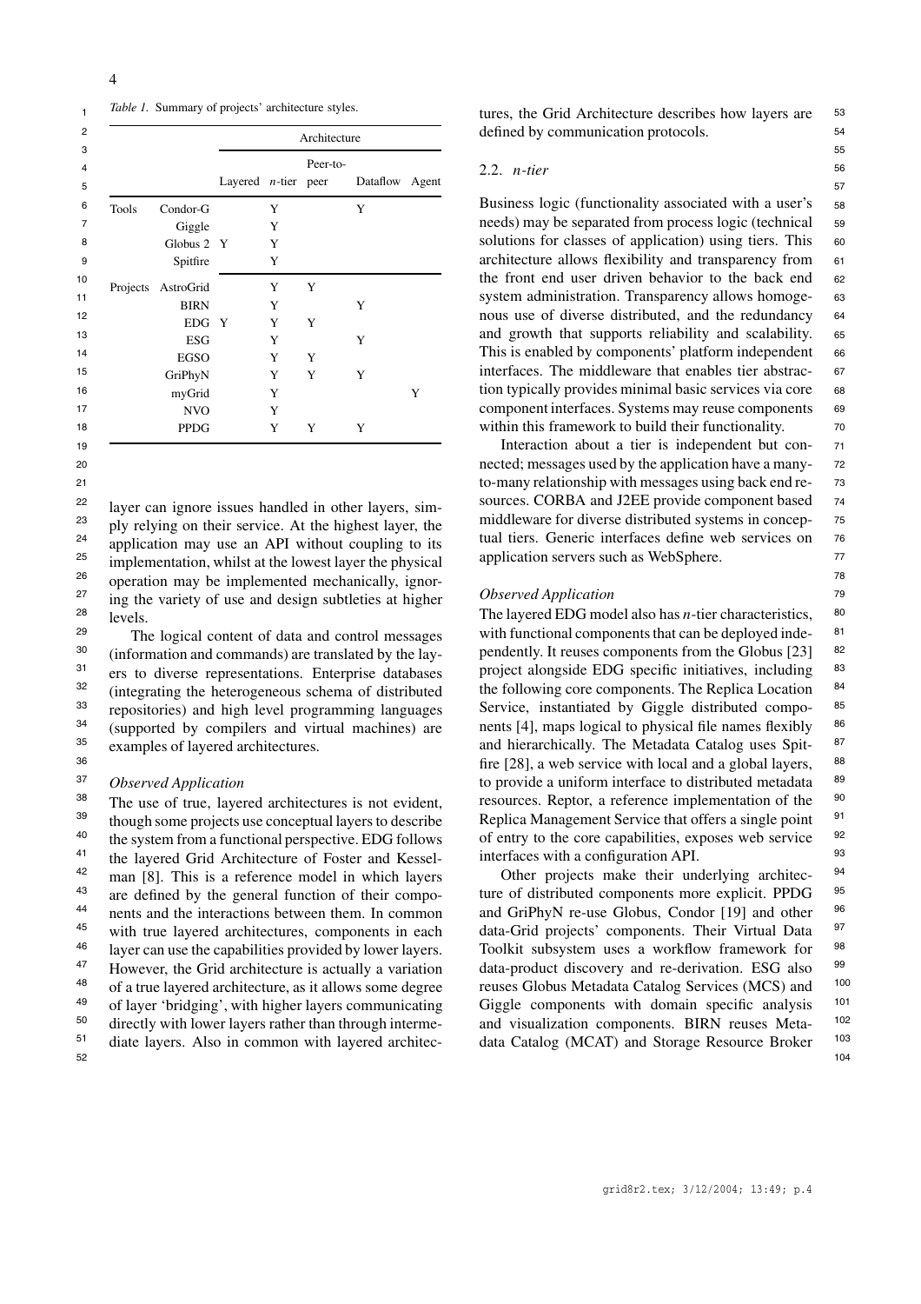*Table 1.* Summary of projects' architecture styles.

| $\overline{2}$                |          |                                                 |                        |             | Architecture |                |   | defined by communication protocols.                                                                                                                                                                                                 |                      |  |  |  |  |  |
|-------------------------------|----------|-------------------------------------------------|------------------------|-------------|--------------|----------------|---|-------------------------------------------------------------------------------------------------------------------------------------------------------------------------------------------------------------------------------------|----------------------|--|--|--|--|--|
| 3<br>5                        |          |                                                 | Layered $n$ -tier peer |             | Peer-to-     | Dataflow Agent |   | 2.2. $n$ -tier                                                                                                                                                                                                                      | 55<br>56<br>57       |  |  |  |  |  |
| 6<br>$\overline{7}$<br>8<br>9 | Tools    | Condor-G<br>Giggle<br>Globus 2 Y<br>Spitfire    |                        | Y<br>Y<br>Y |              | Y              |   | Business logic (functionality associated with a user's<br>needs) may be separated from process logic (technical<br>solutions for classes of application) using tiers. This<br>architecture allows flexibility and transparency from | 58<br>59<br>60<br>61 |  |  |  |  |  |
| 10<br>11<br>12<br>13          | Projects | AstroGrid<br><b>BIRN</b><br>EDG Y<br><b>ESG</b> |                        | Y           | Y<br>Y       | Y<br>Y         |   | the front end user driven behavior to the back end<br>system administration. Transparency allows homoge-<br>nous use of diverse distributed, and the redundancy<br>and growth that supports reliability and scalability.            | 62<br>63<br>64<br>65 |  |  |  |  |  |
| 14<br>15<br>16                |          | <b>EGSO</b><br>GriPhyN<br>myGrid                |                        | Y<br>Y      | Y<br>Y       | Y              | Y | This is enabled by components' platform independent<br>interfaces. The middleware that enables tier abstrac-<br>tion typically provides minimal basic services via core                                                             | 66<br>67<br>68       |  |  |  |  |  |
| 17<br>18<br>10                |          | <b>NVO</b><br><b>PPDG</b>                       |                        | Y<br>Y      | Y            | Y              |   | component interfaces. Systems may reuse components<br>within this framework to build their functionality.<br>Interaction about a tier is independent but con                                                                        | 69<br>70<br>74       |  |  |  |  |  |

 $^{23}$  ply relying on their service. At the highest layer, the middleware for diverse distributed systems in concep- $^{24}$  application may use an API without coupling to its tual tiers. Generic interfaces define web services on  $^{76}$ <sup>25</sup> implementation whilst at the lowest layer the physical application servers such as WebSphere. <sup>26</sup> operation may be implemented mechanically, ignor-<sup>27</sup> ing the variety of use and design subtleties at higher *Observed Application* 79 <sup>28</sup> levels. **28** are the layered EDG model also has *n*-tier characteristics, <sup>80</sup> layer can ignore issues handled in other layers, simply relying on their service. At the highest layer, the application may use an API without coupling to its implementation, whilst at the lowest layer the physical levels.

<sup>30</sup> (information and commands) are translated by the lay-<br>pendently. It reuses components from the Globus [23] <sup>82</sup> <sup>31</sup> ers to diverse representations. Enterprise databases project alongside EDG specific initiatives, including <sup>83</sup>  $32$  (integrating the heterogeneous schema of distributed the following core components. The Replica Location  $84$ <sup>33</sup> repositories) and high level programming languages Service, instantiated by Giggle distributed compo- <sup>85</sup> <sup>34</sup> (supported by compilers and virtual machines) are nents [4], maps logical to physical file names flexibly  $^{86}$ <sup>35</sup> examples of layered architectures. The Metadata Catalog uses Spit- <sup>87</sup> examples of layered architectures. The logical content of data and control messages (information and commands) are translated by the layers to diverse representations. Enterprise databases (integrating the heterogeneous schema of distributed repositories) and high level programming languages (supported by compilers and virtual machines) are examples of layered architectures.

### *Observed Application*

<sup>39</sup> though some projects use conceptual layers to describe Replica Management Service that offers a single point  $\frac{91}{2}$ <sup>40</sup> the system from a functional perspective. EDG follows of entry to the core capabilities, exposes web service  $92$ <sup>41</sup> the layered Grid Architecture of Foster and Kessel- interfaces with a configuration API. <sup>42</sup> man [8]. This is a reference model in which layers Other projects make their underlying architec-  $\frac{94}{1}$ <sup>43</sup> are defined by the general function of their compo-<br>ture of distributed components more explicit. PPDG <sup>95</sup> <sup>44</sup> nents and the interactions between them. In common and GriPhyN re-use Globus, Condor [19] and other <sup>96</sup> <sup>45</sup> with true layered architectures, components in each data-Grid projects' components. Their Virtual Data <sup>97</sup> <sup>46</sup> layer can use the capabilities provided by lower layers. Toolkit subsystem uses a workflow framework for <sup>98</sup> <sup>47</sup> However, the Grid architecture is actually a variation data-product discovery and re-derivation. ESG also <sup>99</sup> <sup>48</sup> of a true layered architecture, as it allows some degree reuses Globus Metadata Catalog Services (MCS) and <sup>100</sup> <sup>49</sup> of layer 'bridging', with higher layers communicating Giggle components with domain specific analysis <sup>101</sup>  $50$  directly with lower layers rather than through interme- and visualization components. BIRN reuses Meta-  $102$ <sup>51</sup> diate layers. Also in common with layered architec- data Catalog (MCAT) and Storage Resource Broker <sup>103</sup> 52 104 The use of true, layered architectures is not evident, though some projects use conceptual layers to describe the system from a functional perspective. EDG follows man [8]. This is a reference model in which layers are defined by the general function of their components and the interactions between them. In common with true layered architectures, components in each layer can use the capabilities provided by lower layers. of layer 'bridging', with higher layers communicating

tures, the Grid Architecture describes how layers are 53

19 **19 19 10 11 Interaction about a tier is independent but con-** <sup>71</sup> 20 72 nected; messages used by the application have a many-21 21 21 22 to-many relationship with messages using back end re- 23 <sup>22</sup> laver can ignore issues handled in other layers sim-<br>Sources. CORBA and J2EE provide component based <sup>74</sup>

#### *Observed Application*

<sup>29</sup> The logical content of data and control messages with functional components that can be deployed inde-36 88 fire [28], a web service with local and a global layers, <sup>37</sup> *Observed Application* 69 **89** to provide a uniform interface to distributed metadata<sup>89</sup> <sup>38</sup> The use of true, layered architectures is not evident, resources. Reptor, a reference implementation of the <sup>90</sup> interfaces with a configuration API.

> data-product discovery and re-derivation. ESG also reuses Globus Metadata Catalog Services (MCS) and and visualization components. BIRN reuses Metadata Catalog (MCAT) and Storage Resource Broker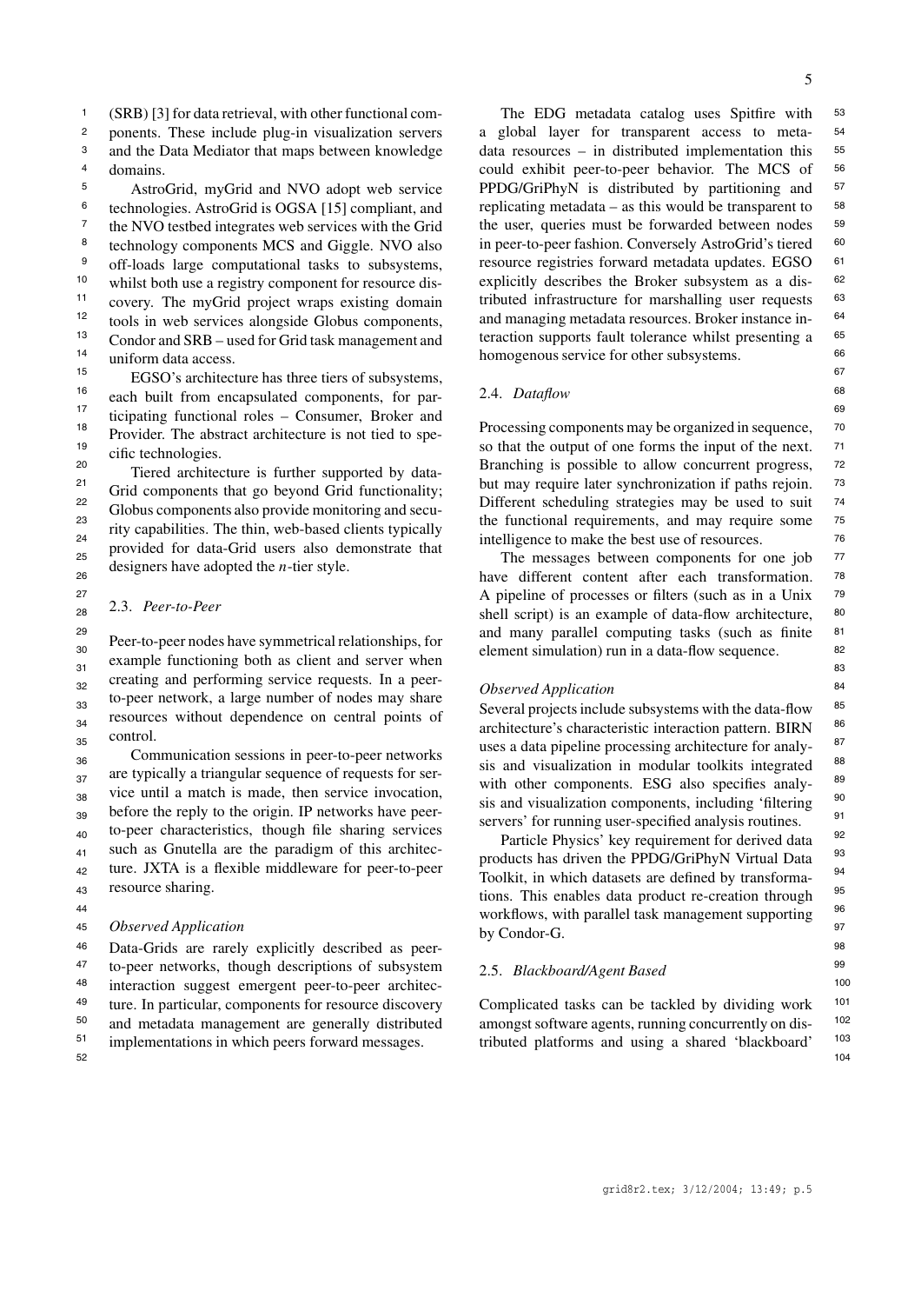domains. AstroGrid, myGrid and NVO adopt web service technologies. AstroGrid is OGSA [15] compliant, and technology components MCS and Giggle. NVO also

<sup>9</sup> off-loads large computational tasks to subsystems, resource registries forward metadata updates. EGSO <sup>61</sup> <sup>10</sup> whilst both use a registry component for resource dis-<br>explicitly describes the Broker subsystem as a dis-<sup>11</sup> covery. The myGrid project wraps existing domain tributed infrastructure for marshalling user requests  $63$  $12$  tools in web services alongside Globus components, and managing metadata resources. Broker instance in-<sup>13</sup> Condor and SRB – used for Grid task management and teraction supports fault tolerance whilst presenting a  $65$ <sup>14</sup> uniform data access.  $\frac{66}{5}$ off-loads large computational tasks to subsystems, whilst both use a registry component for resource discovery. The myGrid project wraps existing domain tools in web services alongside Globus components, Condor and SRB – used for Grid task management and uniform data access.

<sup>15</sup> EGSO's architecture has three tiers of subsystems, <sup>67</sup> <sup>16</sup> each built from encapsulated components, for par- 2.4. Dataflow <sup>68</sup>  $\frac{17}{12}$  ticipating functional roles – Consumer, Broker and 18 Provider The abstract architecture is not tied to spe-<br>Processing components may be organized in sequence, 19  $\frac{1}{2}$  if the original solution is the input of the next.  $\frac{1}{2}$  so that the output of one forms the input of the next.  $\frac{1}{2}$ Provider. The abstract architecture is not tied to specific technologies.

21 73 but may require later synchronization if paths rejoin. 22 Clobus components also revise monitoring and sequences. Different scheduling strategies may be used to suit <sup>74</sup>  $\frac{23}{100}$  in complision the functional requirements, and may require some  $\frac{23}{100}$  in a regular some  $\frac{23}{100}$  in  $\frac{23}{100}$  in  $\frac{23}{100}$  in  $\frac{23}{100}$  in  $\frac{23}{100}$  in  $\frac{23}{100}$  in  $\frac{23}{100}$  in 24 required for detail were selected through the intelligence to make the best use of resources. 76 25 decimens between components for one job 77 Tiered architecture is further supported by data-Grid components that go beyond Grid functionality; Globus components also provide monitoring and security capabilities. The thin, web-based clients typically provided for data-Grid users also demonstrate that designers have adopted the *n*-tier style.

#### 2.3. *Peer-to-Peer*

 $\frac{30}{20}$  because the symmetric simulation run in a data-flow sequence.  $\frac{82}{20}$  $_{31}$  example functioning both as client and server when  $_{32}$  example functioning both as client and server when 32 creating and performing service requests. In a peer-<br>  $Observed \, Annlication$  $\frac{33}{33}$  is peer network, a harge named or notices may share<br>recourses without dependence on central points of Several projects include subsystems with the data-flow  $\frac{85}{3}$  $\frac{34}{24}$  resources while dependence on central points of architecture's characteristic interaction pattern. BIRN  $\frac{86}{24}$ Peer-to-peer nodes have symmetrical relationships, for to-peer network, a large number of nodes may share resources without dependence on central points of control.

<sup>36</sup> 88<br>Sis and visualization in modular toolkits integrated <sup>88</sup>  $\frac{37}{27}$  are typically a triangular sequence of requests for ser-<br>with other components. ESG also specifies analy- $\frac{38}{28}$  vice unin a materix mate, then service invocation, sis and visualization components, including 'filtering  $\frac{90}{28}$  $\frac{39}{29}$  before the reply to the origin. In het works have peer-<br>servers' for running user-specified analysis routines.  $^{40}$  to-peer characteristics, though the sharing services<br>Particle Physics' key requirement for derived data 41 such as Gnutella are the paradigm of this architec-<br> $\frac{1}{2}$  such as  $\frac{1}{2}$  such as  $\frac{1}{2}$  such as  $\frac{1}{2}$  such as  $\frac{1}{2}$  such as  $\frac{1}{2}$  such as  $\frac{1}{2}$  such as  $\frac{1}{2}$  such as  $\frac{1}{2}$  such as  $\frac{$ <sup>42</sup> ure. JATA is a nexture inductivate for peer-to-peer<br>Toolkit, in which datasets are defined by transforma-Communication sessions in peer-to-peer networks are typically a triangular sequence of requests for service until a match is made, then service invocation, before the reply to the origin. IP networks have peerto-peer characteristics, though file sharing services ture. JXTA is a flexible middleware for peer-to-peer resource sharing.

<sup>46</sup> Data-Grids are rarely explicitly described as peer-<br><sup>46</sup> Data-Grids are rarely explicitly described as peer-<sup>47</sup> to-peer networks, though descriptions of subsystem 2.5. Blackboard/Agent Based <sup>48</sup> interaction suggest emergent peer-to-peer architec-<sup>49</sup> ture. In particular, components for resource discovery Complicated tasks can be tackled by dividing work <sup>101</sup>  $50$  and metadata management are generally distributed amongst software agents, running concurrently on dis-<sup>51</sup> implementations in which peers forward messages. Tributed platforms and using a shared 'blackboard' <sup>103</sup> 52 104 ture. In particular, components for resource discovery implementations in which peers forward messages.

1 (SRB) [3] for data retrieval, with other functional com-<br>The EDG metadata catalog uses Spitfire with 53 <sup>2</sup> ponents. These include plug-in visualization servers a global layer for transparent access to meta- <sup>54</sup> <sup>3</sup> and the Data Mediator that maps between knowledge data resources – in distributed implementation this <sup>55</sup> <sup>4</sup> domains. The MCS of <sup>56</sup> services and the could exhibit peer-to-peer behavior. The MCS of <sup>56</sup> 57 5 57 AstroGrid, myGrid and NVO adopt web service 57 PPDG/GriPhyN is distributed by partitioning and 57 <sup>6</sup> technologies. AstroGrid is OGSA [15] compliant, and replicating metadata – as this would be transparent to  $58$ <sup>7</sup> the NVO testbed integrates web services with the Grid the user, queries must be forwarded between nodes <sup>59</sup> <sup>8</sup> technology components MCS and Giggle. NVO also in peer-to-peer fashion. Conversely AstroGrid's tiered <sup>60</sup> The EDG metadata catalog uses Spitfire with a global layer for transparent access to metadata resources – in distributed implementation this the user, queries must be forwarded between nodes

#### 2.4. *Dataflow*

20 Tiered architecture is further supported by data Branching is possible to allow concurrent progress, 72

 $26$  designers have different content after each transformation. <sup>27</sup> 29 **79** 22 **79** 22 **8** 22 **79** 22 **8** 22 **8** 22 **8** 22 **8** 22 **8** 22 **8** 22 **8** 22 **8** 22 **8** 22 **8** 22 **8** 22 **8** 22 **8** 22 **8** 22 **8** 22 **8** 22 **8** 22 **8** 22 **8** 22 **8** 22 **8** 22 **8** 22 **8** 22 **8** 22 **8** 22 **8** $28 \t 2.5.$  Let  $10-1$  be the sample of data-flow architecture,  $^{29}$  Beet to neer nodes how symmetrical relationships for and many parallel computing tasks (such as finite  $^{81}$ 

#### *Observed Application*

 $\frac{35}{25}$  control.<br>Communication sessions in pear to pear networks uses a data pipeline processing architecture for analy-

<sup>95</sup> 43 resource snaring.<br>
<sup>95</sup> tions. This enables data product re-creation through <sup>44</sup> workflows, with parallel task management supporting <sup>96</sup> 45 Observed Application by Condor-G by Condor-G and the service of the service of the service of the service of the service of the service of the service of the service of the service of the service of the service of the s products has driven the PPDG/GriPhyN Virtual Data by Condor-G.

#### 2.5. *Blackboard/Agent Based*

amongst software agents, running concurrently on dis-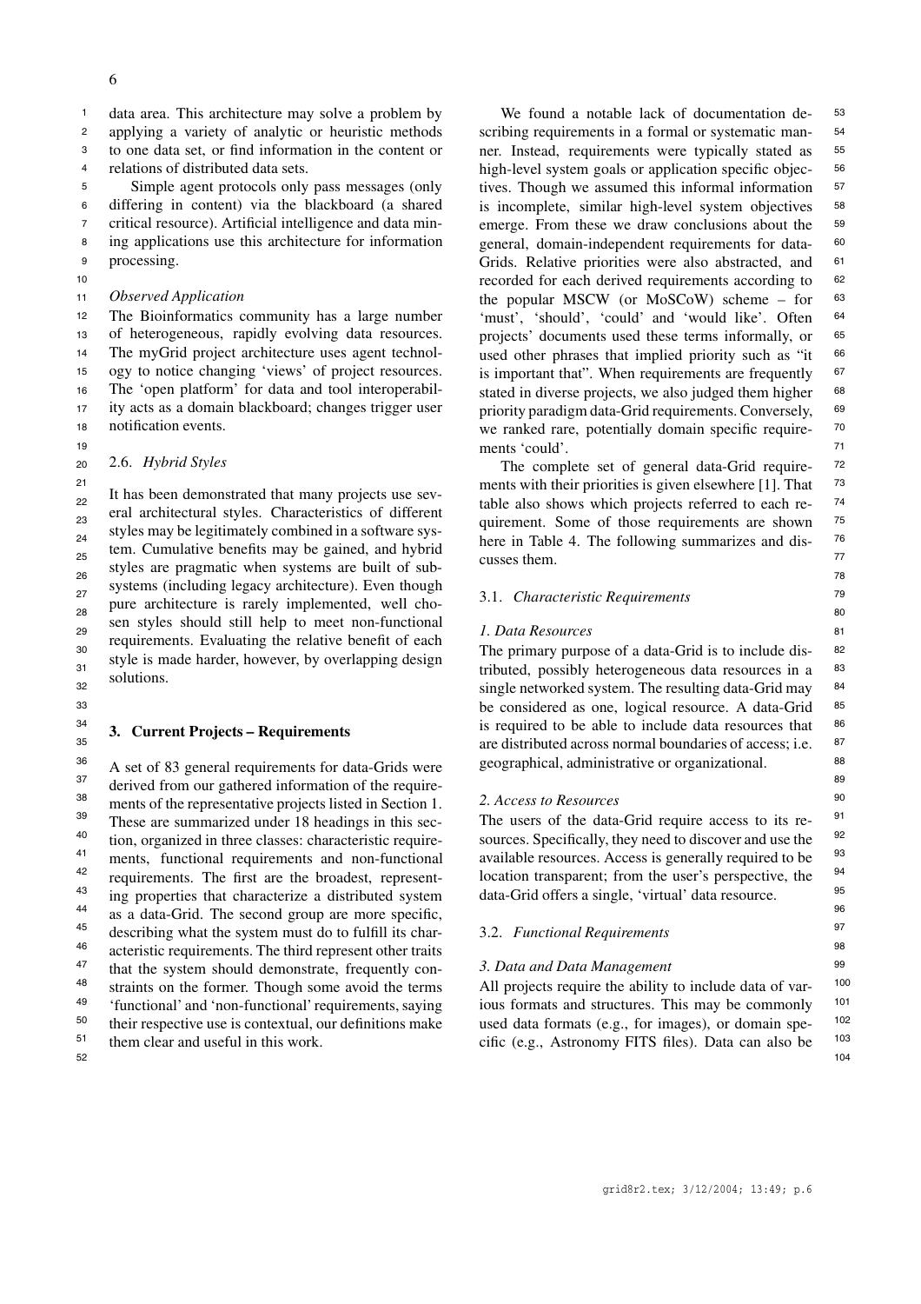6

relations of distributed data sets. Simple agent protocols only pass messages (only

<sup>6</sup> differing in content) via the blackboard (a shared is incomplete, similar high-level system objectives <sup>58</sup> <sup>7</sup> critical resource). Artificial intelligence and data min- emerge. From these we draw conclusions about the <sup>59</sup> 8 ing applications use this architecture for information general, domain-independent requirements for data- 60 critical resource). Artificial intelligence and data minprocessing.

# *Observed Application*

<sup>12</sup> The Bioinformatics community has a large number 'must', 'should', 'could' and 'would like'. Often <sup>64</sup> <sup>13</sup> of heterogeneous, rapidly evolving data resources. projects' documents used these terms informally, or <sup>65</sup> <sup>14</sup> The myGrid project architecture uses agent technol- used other phrases that implied priority such as "it <sup>66</sup> 15 ogy to notice changing 'views' of project resources. is important that". When requirements are frequently 67 <sup>16</sup> The 'open platform' for data and tool interoperabil-<br>stated in diverse projects, we also judged them higher <sup>17</sup> ity acts as a domain blackboard; changes trigger user priority paradigm data-Grid requirements. Conversely, <sup>69</sup> of heterogeneous, rapidly evolving data resources. The myGrid project architecture uses agent technol-The 'open platform' for data and tool interoperability acts as a domain blackboard; changes trigger user notification events.

## 2.6. *Hybrid Styles*

 $22$  r and specificativel divided Characteristics of different table also shows which projects referred to each re-  $74$  $\frac{23}{2}$  civiles may be legitimately combined in a setture system. Quirement. Some of those requirements are shown  $\frac{75}{2}$  $24$  *by compulsive handles was beganned* and displaced the following summarizes and dis- $_{25}$  tem. Cumulative benefits may be gained, and hybrid  $_{25}$  and  $_{25}$  researchem styles are pragmatic when systems are built of sub-<br> $\frac{26}{78}$ 27 79 3.1. *Characteristic Requirements*  $\frac{28}{\text{sen}}$  sen styles should still help to meet non-functional  $\frac{1}{\text{Rate}}$  *Resources* 29 81 *1. Data Resources*  $\frac{30}{20}$  style is mode barder bulgares by overlapping deciment of the primary purpose of a data-Grid is to include dis- $\frac{31}{21}$  solutions in a same resources in a  $\frac{33}{21}$  solutions of  $\frac{33}{21}$ It has been demonstrated that many projects use several architectural styles. Characteristics of different styles may be legitimately combined in a software syssystems (including legacy architecture). Even though pure architecture is rarely implemented, well chorequirements. Evaluating the relative benefit of each style is made harder, however, by overlapping design solutions.

## **3. Current Projects – Requirements**

<sup>36</sup> A set of 83 general requirements for data-Grids were geographical, administrative or organizational. <sup>37</sup> derived from our gathered information of the require-<sup>38</sup> ments of the representative projects listed in Section 1. 2. Access to Resources  $39$  These are summarized under 18 headings in this sec-<br>The users of the data-Grid require access to its re- $40$  tion, organized in three classes: characteristic require-<br>sources. Specifically, they need to discover and use the  $92$ <sup>41</sup> ments, functional requirements and non-functional available resources. Access is generally required to be <sup>93</sup> <sup>42</sup> requirements. The first are the broadest, represent-<br>location transparent; from the user's perspective, the  $^{94}$  $^{43}$  ing properties that characterize a distributed system data-Grid offers a single, 'virtual' data resource.  $^{95}$ <sup>44</sup> as a data-Grid. The second group are more specific, <sup>96</sup> <sup>45</sup> describing what the system must do to fulfill its char-<br><sup>97</sup> <sup>46</sup> acteristic requirements. The third represent other traits <sup>98</sup> <sup>47</sup> that the system should demonstrate, frequently con-  $\frac{3. Data \text{ and } Data \text{ Management}}{99}$ <sup>48</sup> straints on the former. Though some avoid the terms All projects require the ability to include data of var-<sup>49</sup> 'functional' and 'non-functional' requirements, saying ious formats and structures. This may be commonly  $101$ <sup>50</sup> their respective use is contextual, our definitions make used data formats (e.g., for images), or domain spe-<sup>51</sup> them clear and useful in this work. cific (e.g., Astronomy FITS files). Data can also be <sup>103</sup> A set of 83 general requirements for data-Grids were These are summarized under 18 headings in this section, organized in three classes: characteristic requirements, functional requirements and non-functional requirements. The first are the broadest, representing properties that characterize a distributed system 'functional' and 'non-functional' requirements, saying them clear and useful in this work.

<sup>1</sup> data area. This architecture may solve a problem by We found a notable lack of documentation de-<sup>2</sup> applying a variety of analytic or heuristic methods scribing requirements in a formal or systematic man-3 55 to one data set, or find information in the content or 4 56 high-level system goals or application specific objec-5 57 tives. Though we assumed this informal information 9 processing. The same state of the set of the Grids. Relative priorities were also abstracted, and <sup>61</sup> 10 62 recorded for each derived requirements according to 11 63 the popular MSCW (or MoSCoW) scheme – for <sup>18</sup> notification events. The settle require-19 ments 'could'. We found a notable lack of documentation describing requirements in a formal or systematic manner. Instead, requirements were typically stated as is incomplete, similar high-level system objectives general, domain-independent requirements for data-'must', 'should', 'could' and 'would like'. Often is important that". When requirements are frequently

20 2.6. *Hyprid Styles* extending the complete set of general data-Grid require-<sup>21</sup> It has been demonstrated that many projects use  $\frac{1}{2}$  ments with their priorities is given elsewhere [1]. That <sup>73</sup> cusses them.

<sup>32</sup> <sup>32</sup> <sup>522</sup> 844. Single networked system. The resulting data-Grid may <sup>84</sup> 33 85 be considered as one, logical resource. A data-Grid <sup>34</sup> **3** Current Projects – Requirements is required to be able to include data resources that <sup>86</sup> 35 87 are distributed across normal boundaries of access; i.e.

### *2. Access to Resources*

### 3.2. *Functional Requirements*

# *3. Data and Data Management*

52 104 All projects require the ability to include data of varused data formats (e.g., for images), or domain spe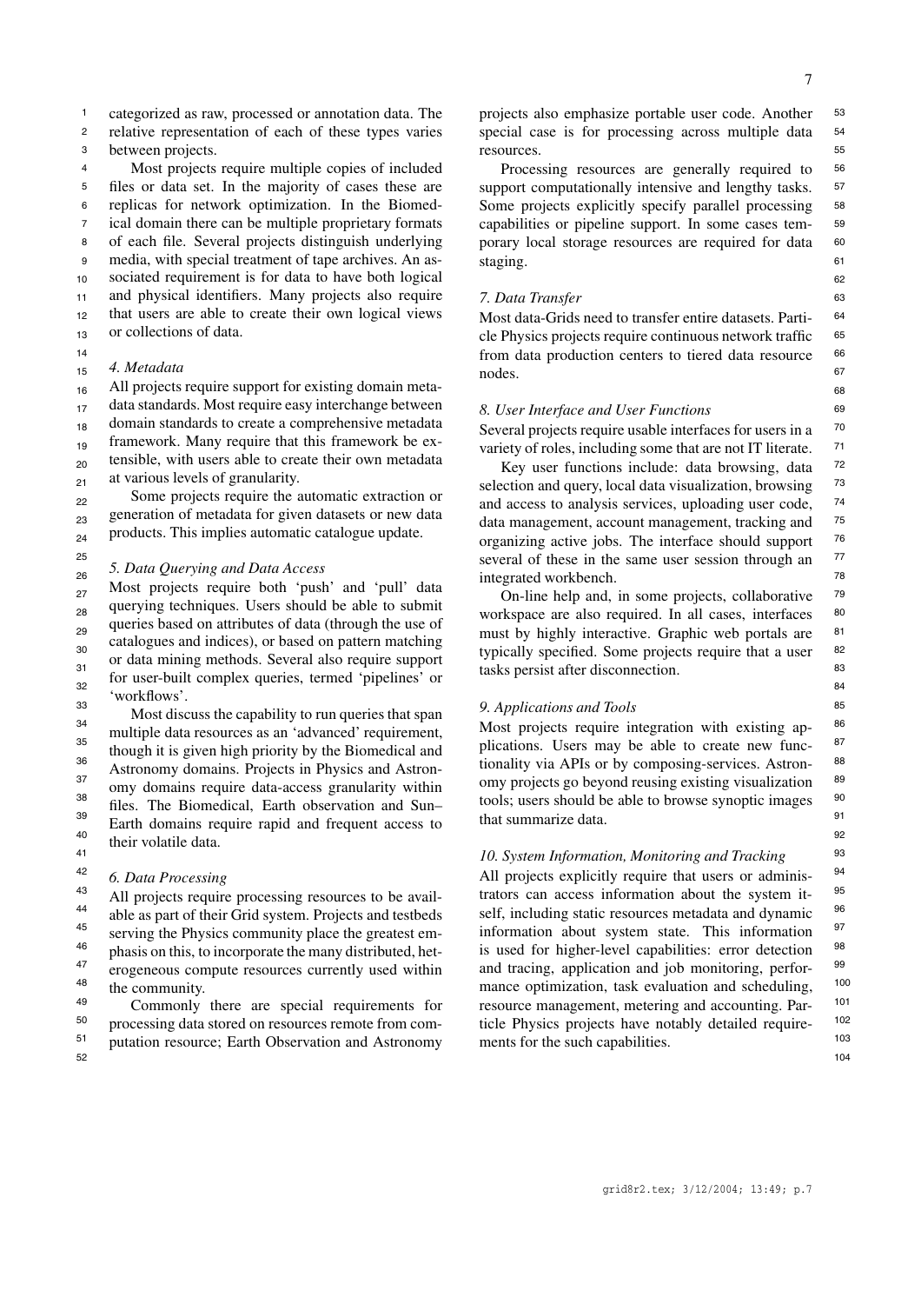<sup>1</sup> categorized as raw, processed or annotation data. The projects also emphasize portable user code. Another <sup>53</sup>

4 Most projects require multiple copies of included Processing resources are generally required to 56 57 files or data set. In the majority of cases these are support computationally intensive and lengthy tasks. 57 <sup>6</sup> replicas for network optimization. In the Biomed-<br>Some projects explicitly specify parallel processing <sup>58</sup> <sup>7</sup> ical domain there can be multiple proprietary formats capabilities or pipeline support. In some cases tem-8 of each file. Several projects distinguish underlying porary local storage resources are required for data 60 9 media, with special treatment of tape archives. An as-<br>
staging. 10 62 sociated requirement is for data to have both logical <sup>11</sup> and physical identifiers. Many projects also require 7. Data Transfer <sup>12</sup> that users are able to create their own logical views Most data-Grids need to transfer entire datasets. Parti-13 or collections of data.  $\qquad \qquad$  cle Physics projects require continuous network traffic  $\qquad$  65 files or data set. In the majority of cases these are replicas for network optimization. In the Biomedthat users are able to create their own logical views or collections of data.

#### *4. Metadata*

16 All projects require support for existing domain meta-17 69 *8. User Interface and User Functions* <sup>18</sup> domain standards to create a comprehensive inetadata Several projects require usable interfaces for users in a 19 IT allows Nany lequite that this Hallework be ex-<br>variety of roles, including some that are not IT literate. 20 refusive, while the correct their own included the Key user functions include: data browsing, data <sup>72</sup> data standards. Most require easy interchange between domain standards to create a comprehensive metadata framework. Many require that this framework be extensible, with users able to create their own metadata at various levels of granularity.

 $\frac{22}{22}$  and access to analysis services, uploading user code,  $\frac{74}{22}$ 23 generation of increased for given datasets of new data and data management, account management, tracking and <sup>75</sup> Some projects require the automatic extraction or generation of metadata for given datasets or new data products. This implies automatic catalogue update.

#### *5. Data Querying and Data Access*

 $27 \text{ hours}$  results for the projects of  $27 \text{ hours}$  and  $27 \text{ hours}$  On-line help and, in some projects, collaborative  $79 \text{ hours}$  $28 \frac{\text{year}}{\text{average head on}}$  workspace are also required. In all cases, interfaces  $20 \frac{\text{arc}}{\text{average head}}$  $^{29}$  species sustainable of a must by highly interactive. Graphic web portals are  $^{81}$  $\frac{30}{20}$  becomes the subset of the set of the set of the set of the set of the set of the set of the set of the set of the set of the set of the set of the set of the set of the set of the set of the set of the set of  $\frac{31}{21}$  because the second the second temperature of  $\frac{33}{21}$  for user built complex queries termed 'ninelines' or tasks persist after disconnection. for user-built complex queries, termed 'pipelines' or the tasks persist and disconnection. Most projects require both 'push' and 'pull' data querying techniques. Users should be able to submit queries based on attributes of data (through the use of catalogues and indices), or based on pattern matching or data mining methods. Several also require support 'workflows'.

33 85 *9. Applications and Tools* <sup>34</sup> multiple data resources as an 'advanced' requirement Most projects require integration with existing ap- $\frac{35}{25}$  though it is given high priority by the Biomedical and plications. Users may be able to create new func-<sup>36</sup> Astronomy domains Projects in Physics and Astron-<br>1988 Matrior Markovice of Matrice of Astron-<br>1988 Matrice of Markovice of Matrice of Matrice of Matrice of Matrice of Matrice of Matrice of Matrice of Matrice of Matri  $^{37}$  omy domains require data-access granularity within omy projects go beyond reusing existing visualization  $^{89}$  $^{38}$  files. The Biomedical, Earth observation and Sun– tools; users should be able to browse synoptic images  $^{90}$  $\frac{39}{2}$  Earth domains require rapid and frequent access to that summarize data.  $\frac{40}{20}$  defined to  $\frac{1}{2}$  . The set of  $\frac{1}{2}$  of  $\frac{1}{2}$  of  $\frac{1}{2}$  of  $\frac{1}{2}$  of  $\frac{1}{2}$  of  $\frac{1}{2}$  of  $\frac{1}{2}$  of  $\frac{1}{2}$  of  $\frac{1}{2}$  of  $\frac{1}{2}$  of  $\frac{1}{2}$  of  $\frac{1}{2}$  of  $\frac{1}{2}$  of  $\frac{1}{$ Most discuss the capability to run queries that span multiple data resources as an 'advanced' requirement, though it is given high priority by the Biomedical and Astronomy domains. Projects in Physics and Astronomy domains require data-access granularity within files. The Biomedical, Earth observation and Sun– their volatile data.

#### *6. Data Processing*

<sup>44</sup> able as part of their Grid system. Projects and testbeds self, including static resources metadata and dynamic <sup>96</sup> <sup>45</sup> serving the Physics community place the greatest em-<br>information about system state. This information  $97$ <sup>46</sup> phasis on this, to incorporate the many distributed, het-<br>is used for higher-level capabilities: error detection  $^{98}$ <sup>47</sup> erogeneous compute resources currently used within and tracing, application and job monitoring, perfor-<sup>48</sup> the community. The same set of the community. The same set of the same set of the same set of the same set of the same set of the same set of the same set of the same set of the same set of the same set of the same se All projects require processing resources to be available as part of their Grid system. Projects and testbeds serving the Physics community place the greatest emphasis on this, to incorporate the many distributed, heterogeneous compute resources currently used within the community.

<sup>50</sup> processing data stored on resources remote from com-<br>ticle Physics projects have notably detailed require-<sup>51</sup> putation resource; Earth Observation and Astronomy ments for the such capabilities. <sup>103</sup> 52 104 Commonly there are special requirements for processing data stored on resources remote from com-

<sup>2</sup> relative representation of each of these types varies special case is for processing across multiple data <sup>54</sup> 3 55 between projects. projects also emphasize portable user code. Another special case is for processing across multiple data resources.

> Processing resources are generally required to capabilities or pipeline support. In some cases temporary local storage resources are required for data staging.

#### *7. Data Transfer*

<sup>14</sup> 14 from data production centers to tiered data resource <sup>66</sup>  $15 \quad 4. \text{Melludud}$  67 nodes.

 $_{21}$  at values levels of granuality. Selection and query, local data visualization, browsing  $^{73}$ 24 Products. This implies automatic catalogue update. organizing active jobs. The interface should support <sup>76</sup> <sup>25</sup> 5 *Deta Quaming and Data Agass* several of these in the same user session through an <sup>77</sup>  $\frac{26}{26}$  *Meet meinster aguins both 'much'* and 'mul', data integrated workbench.

that summarize data.

#### 41 93 *10. System Information, Monitoring and Tracking*

<sup>42</sup> 6. Data Processing  $\mu$  All projects explicitly require that users or adminis-<sup>43</sup> All projects require processing resources to be avail-<br>trators can access information about the system it-<sup>49</sup> Commonly there are special requirements for resource management, metering and accounting. Parments for the such capabilities.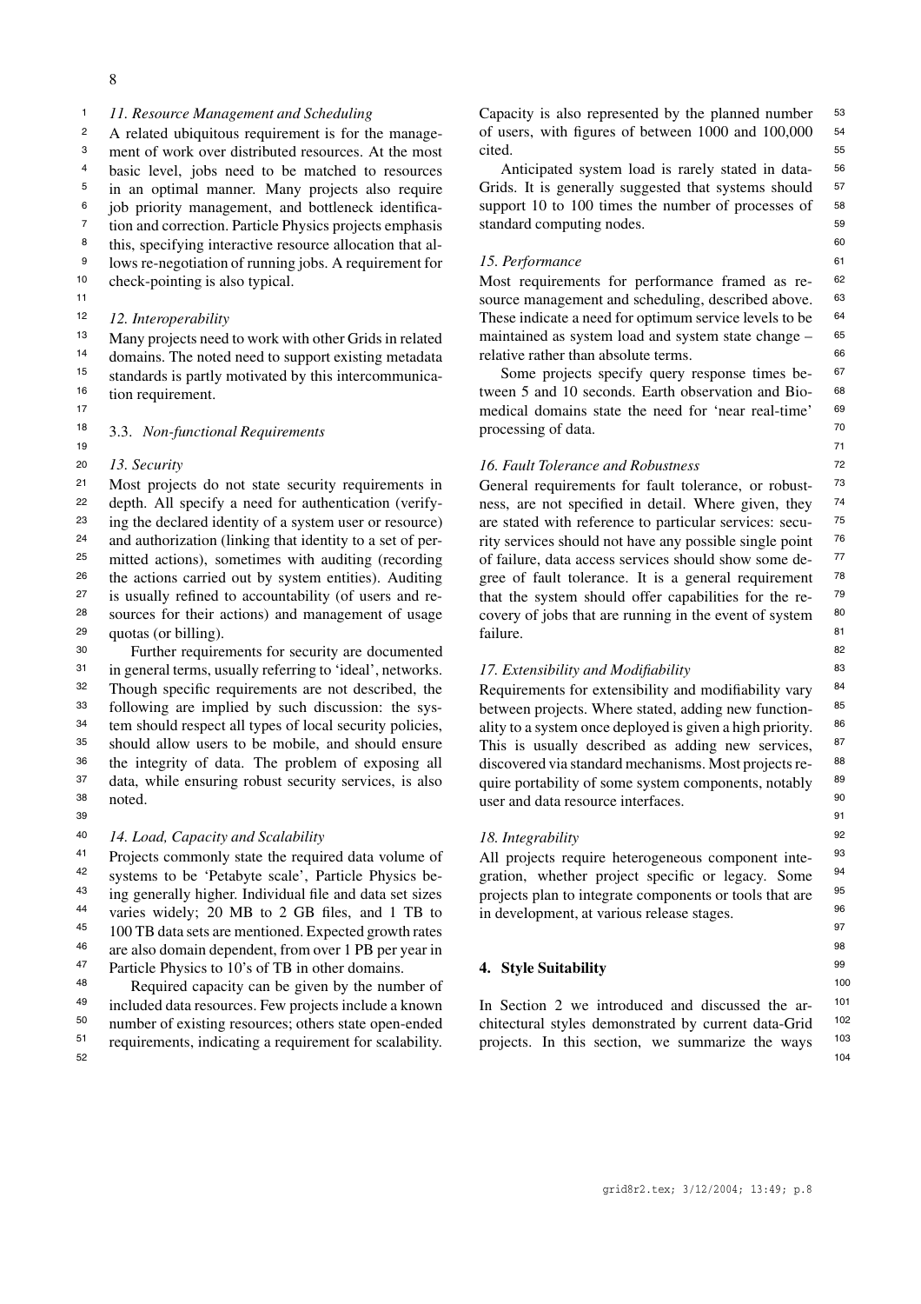## *11. Resource Management and Scheduling*

<sup>2</sup> A related ubiquitous requirement is for the manage- of users, with figures of between 1000 and 100,000 <sup>54</sup> <sup>3</sup> ment of work over distributed resources. At the most cited. <sup>55</sup> <sup>4</sup> basic level, jobs need to be matched to resources Anticipated system load is rarely stated in data-<sup>5</sup> in an optimal manner. Many projects also require Grids. It is generally suggested that systems should <sup>57</sup> <sup>6</sup> job priority management, and bottleneck identifica-<br><sup>6</sup> support 10 to 100 times the number of processes of <sup>58</sup> <sup>7</sup> tion and correction. Particle Physics projects emphasis standard computing nodes. 8 this, specifying interactive resource allocation that al-<sup>9</sup> lows re-negotiation of running jobs. A requirement for *15. Performance* 61 A related ubiquitous requirement is for the managejob priority management, and bottleneck identificacheck-pointing is also typical.

#### *12. Interoperability*

<sup>13</sup> Many projects need to work with other Grids in related maintained as system load and system state change – <sup>65</sup> <sup>14</sup> domains. The noted need to support existing metadata relative rather than absolute terms. <sup>15</sup> standards is partly motivated by this intercommunica-<br><sup>67</sup> Some projects specify query response times be-<sup>16</sup> tion requirement. The seconds of tween 5 and 10 seconds. Earth observation and Biostandards is partly motivated by this intercommunication requirement.

#### *13. Security*

<sup>21</sup> Most projects do not state security requirements in General requirements for fault tolerance, or robust- <sup>73</sup>  $22$  depth. All specify a need for authentication (verify- ness, are not specified in detail. Where given, they  $74$  $23$  ing the declared identity of a system user or resource) are stated with reference to particular services: secu- $75$ <sup>24</sup> and authorization (linking that identity to a set of per-<br>rity services should not have any possible single point  $^{76}$ <sup>25</sup> mitted actions), sometimes with auditing (recording of failure, data access services should show some de-<sup>26</sup> the actions carried out by system entities). Auditing gree of fault tolerance. It is a general requirement <sup>78</sup> <sup>27</sup> is usually refined to accountability (of users and re-<br>that the system should offer capabilities for the re- $^{79}$ <sup>28</sup> sources for their actions) and management of usage covery of jobs that are running in the event of system <sup>80</sup> <sup>29</sup> quotas (or billing). <sup>81</sup> and <sup>81</sup> and <sup>81</sup> and <sup>81</sup> and <sup>81</sup> and <sup>81</sup> and <sup>81</sup> and <sup>81</sup> and authorization (linking that identity to a set of peris usually refined to accountability (of users and re-

30 82 Further requirements for security are documented <sup>31</sup> in general terms, usually referring to 'ideal', networks. *17. Extensibility and Modifiability* <sup>83</sup>  $32$  Though specific requirements are not described, the Requirements for extensibility and modifiability vary  $84$ <sup>33</sup> following are implied by such discussion: the sys-<br>between projects. Where stated, adding new function-<sup>34</sup> tem should respect all types of local security policies, ality to a system once deployed is given a high priority. <sup>86</sup> <sup>35</sup> should allow users to be mobile, and should ensure This is usually described as adding new services, <sup>87</sup> <sup>36</sup> the integrity of data. The problem of exposing all discovered via standard mechanisms. Most projects re-<sup>37</sup> data, while ensuring robust security services, is also quire portability of some system components, notably <sup>89</sup> <sup>38</sup> noted. So we have a set of the set of the set of the set of the set of the set of the set of the set of the set of the set of the set of the set of the set of the set of the set of the set of the set of the set of the noted.

#### 39 91

#### <sup>40</sup> 14. Load, Capacity and Scalability **18.** Integrability **18.** Integrability

<sup>41</sup> Projects commonly state the required data volume of All projects require heterogeneous component inte-<sup>42</sup> systems to be 'Petabyte scale', Particle Physics be-<br>gration, whether project specific or legacy. Some <sup>94</sup> <sup>43</sup> ing generally higher. Individual file and data set sizes projects plan to integrate components or tools that are <sup>95</sup> <sup>44</sup> varies widely; 20 MB to 2 GB files, and 1 TB to in development, at various release stages. <sup>96</sup> <sup>45</sup> 100 TB data sets are mentioned. Expected growth rates <sup>97</sup> <sup>46</sup> are also domain dependent, from over 1 PB per year in **1988** 98 <sup>47</sup> Particle Physics to 10's of TB in other domains. **4. Style Suitability 99** ing generally higher. Individual file and data set sizes

<sup>48</sup> 100<br>Required capacity can be given by the number of 100 <sup>49</sup> included data resources. Few projects include a known In Section 2 we introduced and discussed the ar-<sup>50</sup> number of existing resources; others state open-ended chitectural styles demonstrated by current data-Grid<sup>102</sup> <sup>51</sup> requirements, indicating a requirement for scalability. projects. In this section, we summarize the ways <sup>103</sup> 52 104

<sup>1</sup> 11. Resource Management and Scheduling Capacity is also represented by the planned number <sup>53</sup> cited.

> Anticipated system load is rarely stated in data-Grids. It is generally suggested that systems should standard computing nodes.

#### *15. Performance*

<sup>10</sup> check-pointing is also typical. Most requirements for performance framed as re- <sup>62</sup> <sup>11</sup> source management and scheduling, described above. <sup>63</sup> <sup>12</sup> 12. Interoperability **12** 12. Intervention 1.1 These indicate a need for optimum service levels to be <sup>64</sup> maintained as system load and system state change – relative rather than absolute terms.

17 medical domains state the need for 'near real-time' 69 <sup>18</sup> 3.3. *Non-functional Requirements rows processing of data.* <sup>70</sup> processing of data.

#### 20 72 *16. Fault Tolerance and Robustness*

General requirements for fault tolerance, or robustness, are not specified in detail. Where given, they are stated with reference to particular services: secuof failure, data access services should show some degree of fault tolerance. It is a general requirement covery of jobs that are running in the event of system failure.

#### *17. Extensibility and Modifiability*

Requirements for extensibility and modifiability vary between projects. Where stated, adding new functionality to a system once deployed is given a high priority. This is usually described as adding new services, discovered via standard mechanisms. Most projects require portability of some system components, notably

#### *18. Integrability*

All projects require heterogeneous component integration, whether project specific or legacy. Some in development, at various release stages.

### **4. Style Suitability**

In Section 2 we introduced and discussed the architectural styles demonstrated by current data-Grid projects. In this section, we summarize the ways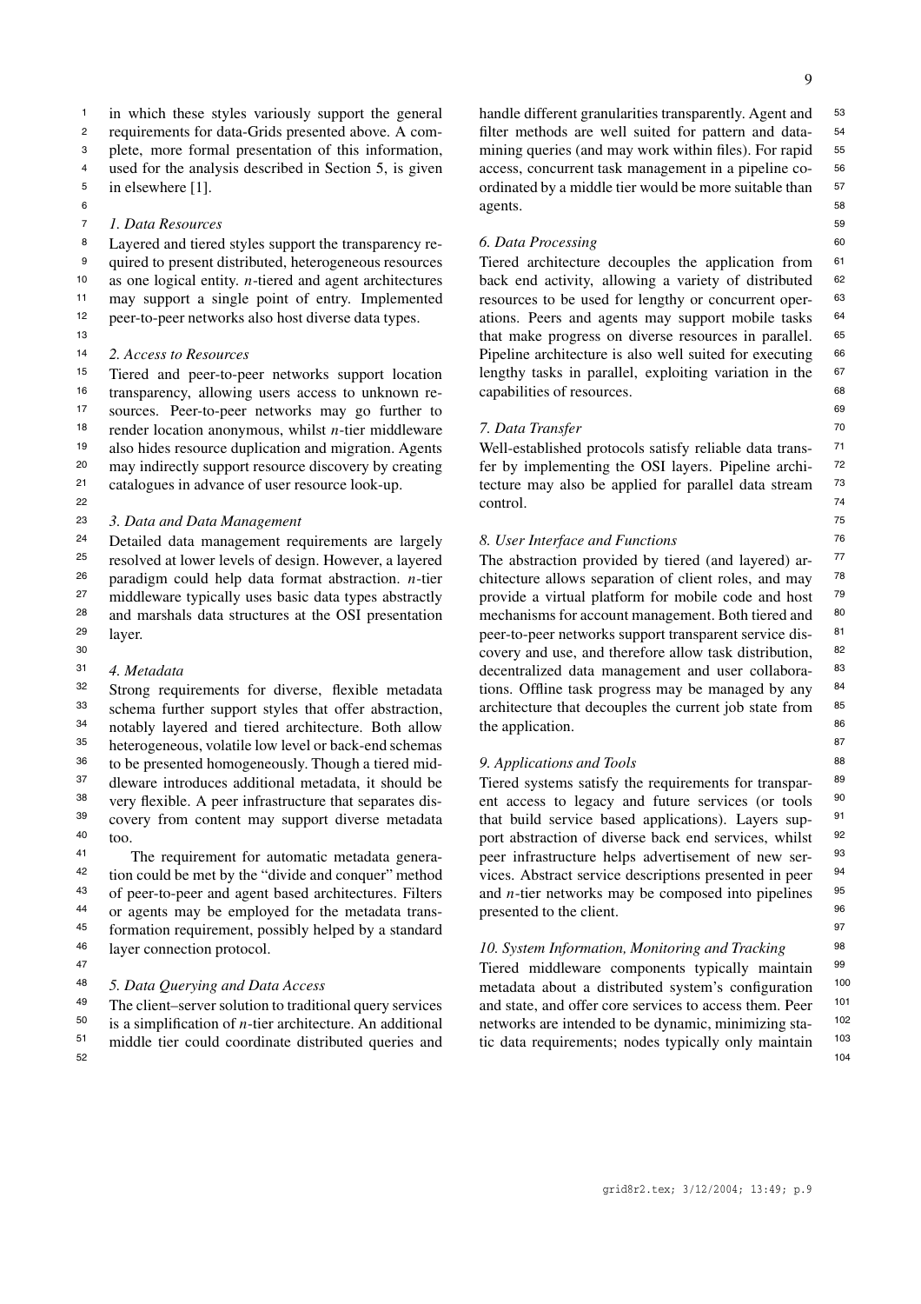<sup>1</sup> in which these styles variously support the general handle different granularities transparently. Agent and <sup>53</sup> <sup>2</sup> requirements for data-Grids presented above. A com-<br>filter methods are well suited for pattern and datarequirements for data-Grids presented above. A com-

in elsewhere [1].

## 7 59 *1. Data Resources*

<sup>8</sup> Layered and tiered styles support the transparency re- 6. Data Processing 60 <sup>9</sup> quired to present distributed, heterogeneous resources Tiered architecture decouples the application from <sup>61</sup> <sup>10</sup> as one logical entity. *n*-tiered and agent architectures back end activity, allowing a variety of distributed <sup>62</sup> <sup>11</sup> may support a single point of entry. Implemented resources to be used for lengthy or concurrent oper- <sup>63</sup> <sup>12</sup> peer-to-peer networks also host diverse data types. ations. Peers and agents may support mobile tasks <sup>64</sup> peer-to-peer networks also host diverse data types.

## *2. Access to Resources*

<sup>15</sup> Tiered and peer-to-peer networks support location lengthy tasks in parallel, exploiting variation in the <sup>67</sup> <sup>16</sup> transparency, allowing users access to unknown re- capabilities of resources. <sup>17</sup> sources. Peer-to-peer networks may go further to the sources of the sources of the sources of the sources of the sources of the sources of the sources of the sources of the sources of the sources of the sources of the <sup>18</sup> render location anonymous, whilst *n*-tier middleware 7. Data Transfer <sup>19</sup> also hides resource duplication and migration. Agents Well-established protocols satisfy reliable data trans-<sup>20</sup> may indirectly support resource discovery by creating fer by implementing the OSI layers. Pipeline archi-<sup>72</sup>  $21$  catalogues in advance of user resource look-up. tecture may also be applied for parallel data stream  $73$ may indirectly support resource discovery by creating catalogues in advance of user resource look-up.

23 75 *3. Data and Data Management*

<sup>24</sup> Detailed data management requirements are largely 8. User Interface and Functions **26** <sup>25</sup> resolved at lower levels of design. However, a layered The abstraction provided by tiered (and layered) ar-<sup>26</sup> paradigm could help data format abstraction. *n*-tier chitecture allows separation of client roles, and may <sup>78</sup> <sup>27</sup> middleware typically uses basic data types abstractly provide a virtual platform for mobile code and host <sup>79</sup> <sup>28</sup> and marshals data structures at the OSI presentation mechanisms for account management. Both tiered and <sup>80</sup> layer.

## *4. Metadata*

 $32$  Strong requirements for diverse, flexible metadata tions. Offline task progress may be managed by any  $84$ 33 schema further support styles that offer abstraction, architecture that decouples the current job state from <sup>85</sup> <sup>34</sup> notably layered and tiered architecture. Both allow the application. <sup>86</sup> <sup>35</sup> heterogeneous, volatile low level or back-end schemas and state of the state of the state of the state of the state of the state of the state of the state of the state of the state of the state of the state of the sta <sup>36</sup> to be presented homogeneously. Though a tiered mid-<br><sup>36</sup> to be presented homogeneously. Though a tiered mid-<br>
<sup>9.</sup> <sup>37</sup> dleware introduces additional metadata, it should be Tiered systems satisfy the requirements for transpar-<sup>38</sup> very flexible. A peer infrastructure that separates dis-<br>ent access to legacy and future services (or tools  $\frac{90}{2}$ 39 covery from content may support diverse metadata that build service based applications). Layers sup-<sup>40</sup> too. **Example 2** 100 abstraction of diverse back end services, whilst <sup>92</sup> Strong requirements for diverse, flexible metadata schema further support styles that offer abstraction, dleware introduces additional metadata, it should be very flexible. A peer infrastructure that separates distoo.

<sup>42</sup> tion could be met by the "divide and conquer" method vices. Abstract service descriptions presented in peer  $\frac{94}{1}$ <sup>43</sup> of peer-to-peer and agent based architectures. Filters and *n*-tier networks may be composed into pipelines <sup>95</sup> <sup>44</sup> or agents may be employed for the metadata trans-<br><sup>96</sup> <sup>45</sup> formation requirement, possibly helped by a standard and the standard standard standard standard standard standard standard standard standard standard standard standard standard standard standard standard standard sta <sup>46</sup> layer connection protocol. The same state of the *10. System Information, Monitoring and Tracking* The requirement for automatic metadata generaof peer-to-peer and agent based architectures. Filters layer connection protocol.

# *5. Data Querying and Data Access*

<sup>49</sup> The client–server solution to traditional query services and state, and offer core services to access them. Peer <sup>101</sup> <sup>50</sup> is a simplification of *n*-tier architecture. An additional networks are intended to be dynamic, minimizing sta-<sup>51</sup> middle tier could coordinate distributed queries and tic data requirements; nodes typically only maintain <sup>103</sup> 52 104

<sup>3</sup> plete, more formal presentation of this information, mining queries (and may work within files). For rapid <sup>55</sup> <sup>4</sup> used for the analysis described in Section 5, is given access, concurrent task management in a pipeline co-57 in elsewhere [1]. The same of the more suitable than the state of the more suitable than the state of the state of the state of the state of the state of the state of the state of the state of the state of the state of  $6$  6 agents.  $\blacksquare$ handle different granularities transparently. Agent and mining queries (and may work within files). For rapid access, concurrent task management in a pipeline coagents.

## *6. Data Processing*

13 that make progress on diverse resources in parallel. <sup>65</sup> <sup>14</sup> 2. Access to Resources **14** 2. Access to Resource 16<sup>66</sup> Pipeline architecture is also well suited for executing Tiered architecture decouples the application from back end activity, allowing a variety of distributed resources to be used for lengthy or concurrent operlengthy tasks in parallel, exploiting variation in the capabilities of resources.

## *7. Data Transfer*

 $\text{control}$  and  $\text{control}$  and  $\text{control}$  and  $\text{control}$ Well-established protocols satisfy reliable data transcontrol.

## *8. User Interface and Functions*

<sup>29</sup> layer. And the service distribution of the peer-to-peer networks support transparent service dis-30 82 covery and use, and therefore allow task distribution, <sup>31</sup> 4. Metadata **31** 4. Metadata **1988 decentralized** data management and user collabora-The abstraction provided by tiered (and layered) architecture allows separation of client roles, and may provide a virtual platform for mobile code and host mechanisms for account management. Both tiered and the application.

## *9. Applications and Tools*

<sup>41</sup> The requirement for automatic metadata genera- peer infrastructure helps advertisement of new ser- <sup>93</sup> that build service based applications). Layers supvices. Abstract service descriptions presented in peer presented to the client.

<sup>47</sup> Tiered middleware components typically maintain <sup>99</sup> <sup>48</sup> 5. Data Querying and Data Access **100** metadata about a distributed system's configuration <sup>100</sup> and state, and offer core services to access them. Peer networks are intended to be dynamic, minimizing static data requirements; nodes typically only maintain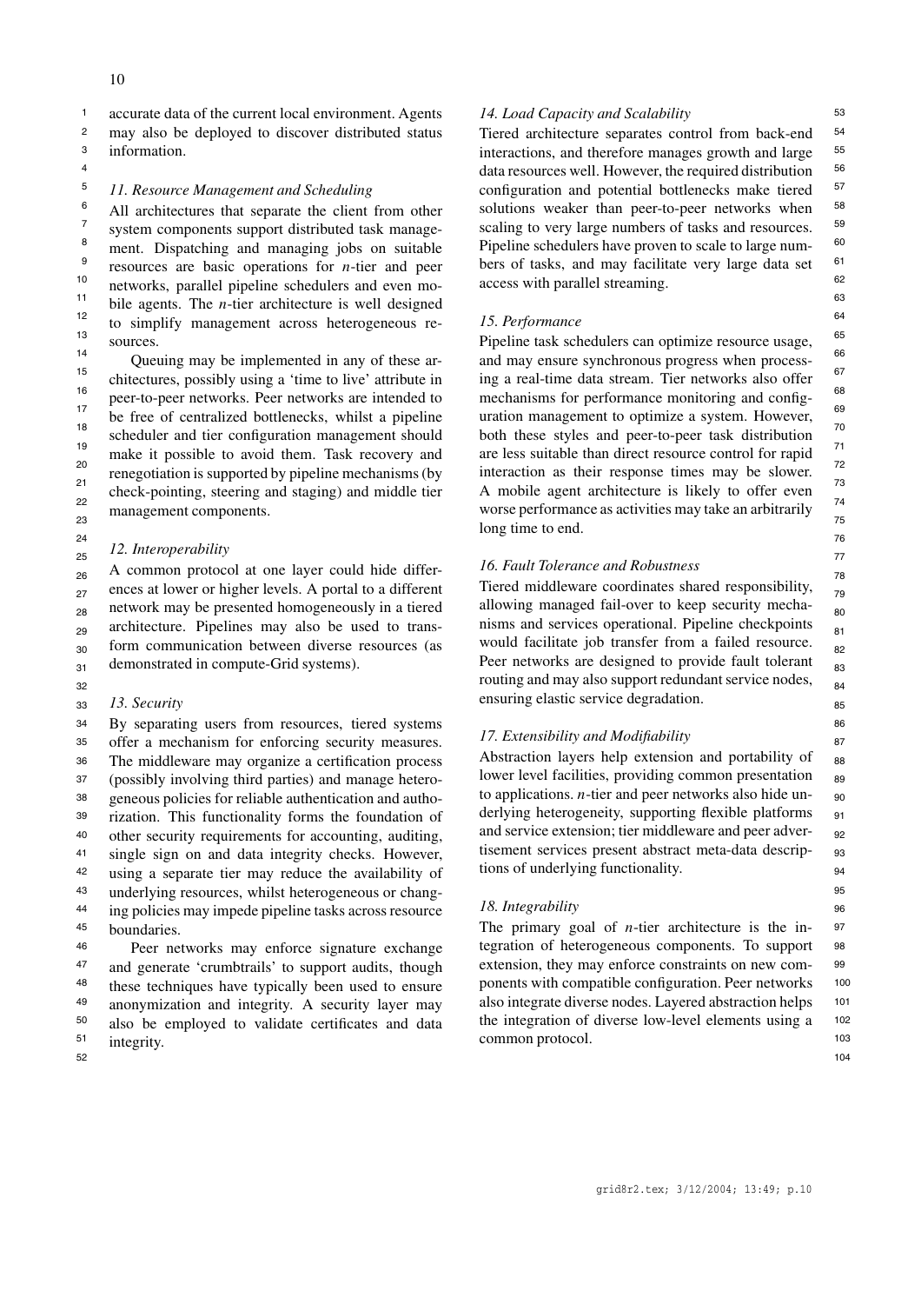10

<sup>1</sup> accurate data of the current local environment. Agents 14. Load Capacity and Scalability <sup>53</sup> <sup>2</sup> may also be deployed to discover distributed status Tiered architecture separates control from back-end <sup>54</sup> information.

## *11. Resource Management and Scheduling*

<sup>6</sup> All architectures that separate the client from other solutions weaker than peer-to-peer networks when <sup>58</sup> <sup>7</sup> system components support distributed task manage-scaling to very large numbers of tasks and resources. <sup>59</sup> <sup>8</sup> ment. Dispatching and managing jobs on suitable Pipeline schedulers have proven to scale to large num-<sup>9</sup> resources are basic operations for *n*-tier and peer bers of tasks, and may facilitate very large data set  $61$ <sup>10</sup> networks, parallel pipeline schedulers and even mo- access with parallel streaming. <sup>62</sup> <sup>11</sup> bile agents. The *n*-tier architecture is well designed <sup>12</sup> to simplify management across heterogeneous re- 15. Performance 64 <sup>13</sup> sources.<sup>65</sup><br>
Pipeline task schedulers can optimize resource usage,<sup>65</sup> system components support distributed task management. Dispatching and managing jobs on suitable resources are basic operations for *n*-tier and peer sources.

<sup>15</sup> chitectures, possibly using a 'time to live' attribute in ing a real-time data stream. Tier networks also offer <sup>67</sup> <sup>16</sup> peer-to-peer networks. Peer networks are intended to mechanisms for performance monitoring and config- <sup>68</sup> <sup>17</sup> be free of centralized bottlenecks, whilst a pipeline uration management to optimize a system. However, <sup>69</sup> <sup>18</sup> scheduler and tier configuration management should both these styles and peer-to-peer task distribution  $\frac{70}{10}$ <sup>19</sup> make it possible to avoid them. Task recovery and are less suitable than direct resource control for rapid  $\frac{71}{10}$ <sup>20</sup><br>renegotiation is supported by pipeline mechanisms (by interaction as their response times may be slower.  $\frac{21}{2}$  check-pointing, steering and staging) and middle tier A mobile agent architecture is likely to offer even  $\frac{22}{2}$  management components. Queuing may be implemented in any of these architectures, possibly using a 'time to live' attribute in peer-to-peer networks. Peer networks are intended to make it possible to avoid them. Task recovery and renegotiation is supported by pipeline mechanisms (by check-pointing, steering and staging) and middle tier management components.

#### е в област произведения в област произведения в област произведения в соответственность при этом не только тог<br>С также произведение при этом не при этом не при этом не при этом не при этом не при этом не при этом не при э *12. Interoperability*

25 77 *16. Fault Tolerance and Robustness*  $_{26}$  A common protocol at one layer could hide differ-<br> $_{26}$  *A* common protocol at one layer could hide differ-<sub>27</sub> ences at lower or higher levels. A portal to a different Tiered middleware coordinates shared responsibility,  $\frac{1}{79}$ <sub>28</sub> network may be presented homogeneously in a tiered allowing managed fail-over to keep security mecha-<sub>29</sub> architecture. Pipelines may also be used to trans-<br> $\frac{1}{29}$  architecture. Pipelines may also be used to trans-<sub>30</sub> form communication between diverse resources (as would facilitate job transfer from a failed resource. <sub>82</sub>  $_{31}$  demonstrated in compute-Grid systems). Peer networks are designed to provide fault tolerant  $_{83}$ 

## *13. Security*

<sup>34</sup> By separating users from resources, tiered systems  $\overline{a}$  =  $\overline{a}$  =  $\overline{a}$  =  $\overline{a}$  =  $\overline{a}$  =  $\overline{a}$  =  $\overline{a}$  =  $\overline{a}$  =  $\overline{a}$  =  $\overline{a}$  =  $\overline{a}$  =  $\overline{a}$  =  $\overline{a}$  =  $\overline{a}$  =  $\overline{a}$  = 35 offer a mechanism for enforcing security measures. The Extensionity and Modifiability and Moster a strategy <sup>36</sup> The middleware may organize a certification process **ADSTER ADSTERGES** Belp extension and portability of <sub>88</sub> <sup>37</sup> (possibly involving third parties) and manage hetero-<br><sup>10</sup> lower level facilities, providing common presentation 38 geneous policies for reliable authentication and autho-  $\frac{10}{2}$  applications. *n*-tier and peer networks also hide un-<sup>39</sup> rization. This functionality forms the foundation of derlying heterogeneity, supporting flexible platforms <sub>91</sub> 40 other security requirements for accounting, auditing, and service extension; tier middleware and peer adver-<sup>41</sup> single sign on and data integrity checks. However, the usement services present abstract meta-data descrip-<sup>42</sup> using a separate tier may reduce the availability of the underlying functionality. <sup>43</sup> underlying resources, whilst heterogeneous or chang-<sup>44</sup> ing policies may impede pipeline tasks across resource <sup>18.</sup> Integrability 16. 45 boundaries. The primary goal of *n*-tier architecture is the inboundaries.

<sup>47</sup> and generate 'crumbtrails' to support audits, though extension, they may enforce constraints on new com- <sup>99</sup> <sup>48</sup> these techniques have typically been used to ensure ponents with compatible configuration. Peer networks <sup>100</sup> 49 anonymization and integrity. A security layer may also integrate diverse nodes. Layered abstraction helps 101  $50$  also be employed to validate certificates and data the integration of diverse low-level elements using a  $102$ <sup>51</sup> integrity. 103 52 104 Peer networks may enforce signature exchange and generate 'crumbtrails' to support audits, though these techniques have typically been used to ensure anonymization and integrity. A security layer may also be employed to validate certificates and data integrity.

## *14. Load Capacity and Scalability*

<sup>3</sup> information. The same state of the state of the interactions, and therefore manages growth and large <sup>55</sup> data resources well. However, the required distribution  $=$  56 <sup>5</sup> 11. Resource Management and Scheduling configuration and potential bottlenecks make tiered <sup>57</sup> Tiered architecture separates control from back-end solutions weaker than peer-to-peer networks when access with parallel streaming.

## *15. Performance*

14 Queuing may be implemented in any of these ar-<br>and may ensure synchronous progress when process-<br><sup>66</sup> 23 and  $\frac{1}{1}$  and  $\frac{1}{1}$  and  $\frac{1}{1}$  and  $\frac{1}{1}$  and  $\frac{1}{1}$  and  $\frac{1}{1}$  and  $\frac{1}{1}$  and  $\frac{1}{1}$  and  $\frac{1}{1}$  and  $\frac{1}{1}$  and  $\frac{1}{1}$  and  $\frac{1}{1}$  and  $\frac{1}{1}$  and  $\frac{1}{1}$  and  $\frac{1}{1}$  and  $\frac{$ uration management to optimize a system. However, both these styles and peer-to-peer task distribution long time to end.

 $\frac{32}{4}$  and may also support redundant service nodes, 33 13. Security and the service degradation. Tiered middleware coordinates shared responsibility, allowing managed fail-over to keep security mechanisms and services operational. Pipeline checkpoints would facilitate job transfer from a failed resource. Peer networks are designed to provide fault tolerant

### *17. Extensibility and Modifiability*

Abstraction layers help extension and portability of lower level facilities, providing common presentation to applications. *n*-tier and peer networks also hide underlying heterogeneity, supporting flexible platforms and service extension; tier middleware and peer advertisement services present abstract meta-data descriptions of underlying functionality.

### *18. Integrability*

<sup>46</sup> Peer networks may enforce signature exchange tegration of heterogeneous components. To support <sup>98</sup>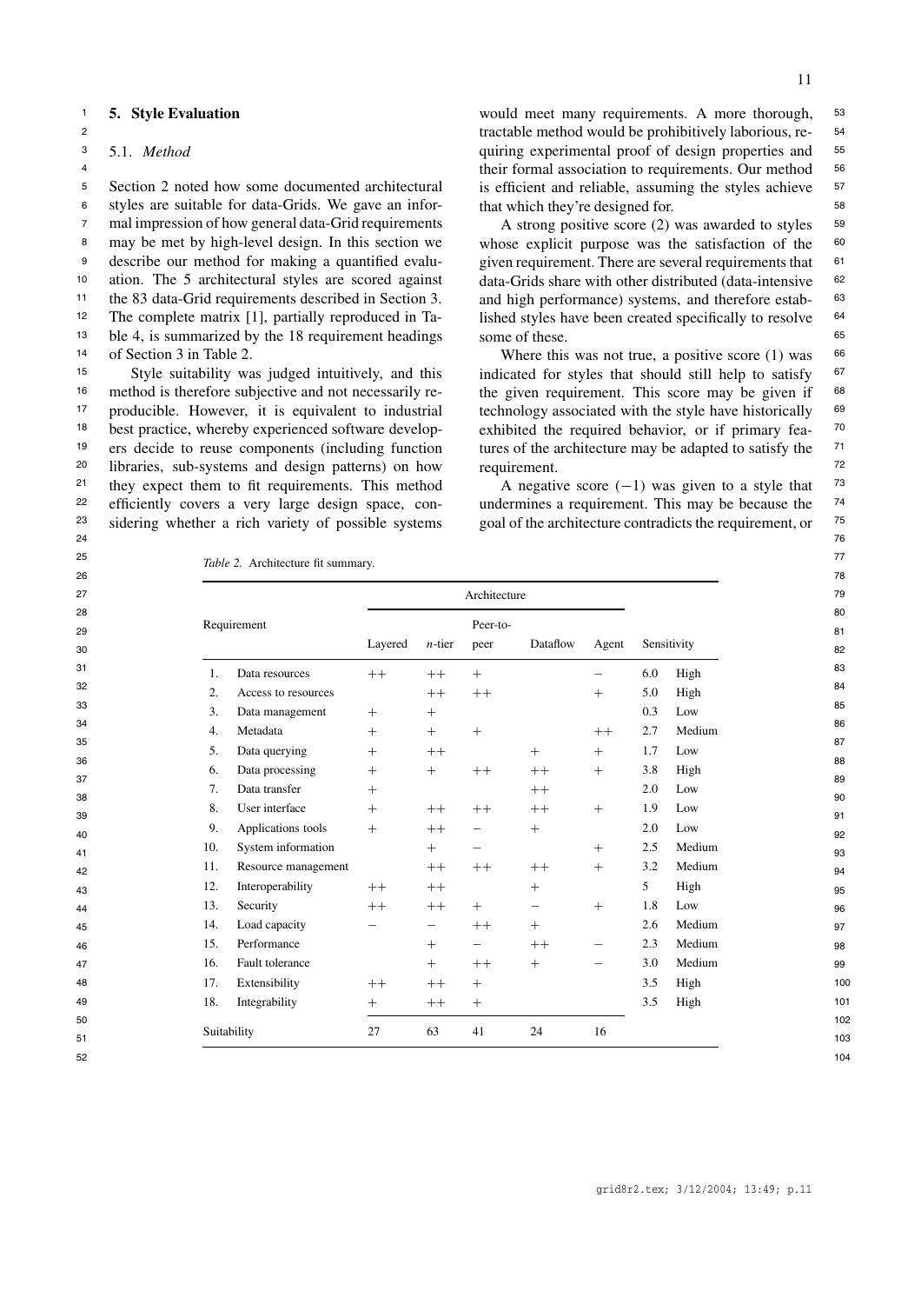## **5. Style Evaluation**

#### 5.1. *Method*

57 Section 2 noted how some documented architectural is efficient and reliable, assuming the styles achieve 57 6 58 styles are suitable for data-Grids. We gave an infor-<sup>7</sup> mal impression of how general data-Grid requirements A strong positive score (2) was awarded to styles <sup>59</sup> <sup>8</sup> may be met by high-level design. In this section we whose explicit purpose was the satisfaction of the <sup>60</sup> <sup>9</sup> describe our method for making a quantified evalu- given requirement. There are several requirements that <sup>61</sup> <sup>10</sup> ation. The 5 architectural styles are scored against data-Grids share with other distributed (data-intensive <sup>62</sup> <sup>11</sup> the 83 data-Grid requirements described in Section 3. and high performance) systems, and therefore estab- <sup>63</sup> <sup>12</sup> The complete matrix [1], partially reproduced in Ta-<br>lished styles have been created specifically to resolve <sup>64</sup> <sup>13</sup> ble 4, is summarized by the 18 requirement headings some of these. Section 2 noted how some documented architectural may be met by high-level design. In this section we describe our method for making a quantified evalu-The complete matrix [1], partially reproduced in Taof Section 3 in Table 2.

<sup>15</sup> Style suitability was judged intuitively, and this indicated for styles that should still help to satisfy <sup>67</sup> <sup>16</sup> method is therefore subjective and not necessarily re-<br><sup>16</sup> method is therefore subjective and not necessarily re-<br>the given requirement. This score may be given if <sup>68</sup> <sup>17</sup> producible. However, it is equivalent to industrial technology associated with the style have historically <sup>69</sup> <sup>18</sup> best practice, whereby experienced software develop-<br><sup>18</sup> best practice, whereby experienced software develop-<br>exhibited the required behavior, or if primary fea-<sup>19</sup> ers decide to reuse components (including function tures of the architecture may be adapted to satisfy the  $^{71}$ <sup>20</sup> libraries, sub-systems and design patterns) on how requirement. <sup>21</sup> they expect them to fit requirements. This method  $\overline{A}$  negative score  $(-1)$  was given to a style that  $\overline{A}$ <sup>22</sup> efficiently covers a very large design space, con- undermines a requirement. This may be because the  $^{74}$ <sup>23</sup> sidering whether a rich variety of possible systems goal of the architecture contradicts the requirement, or  $75$ е в селото на селото на 1916 година, селото на 1916 година, селото на 1924 година, селото на 1920 година, село<br>Населението на 1920 година, селото на 1920 година, селото на 1920 година, селото на 1920 година, селото на 192 Style suitability was judged intuitively, and this ers decide to reuse components (including function efficiently covers a very large design space, con-

<sup>1</sup> **5. Style Evaluation 1 53. Style Evaluation 1 53. Style Evaluation 1 53.** Style Evaluation **1 53.** Style Evaluation **1 53.** Style Evaluation **1 53.** Style Evaluation **1 53.** Style Evaluation **1 53** e tractable method would be prohibitively laborious, re-3 5.1. *Method* 55 and 55 and 55 and 55 and 55 and 55 and 55 and 55 and 55 and 55 and 55 and 55 and 55 and 55 and 55 and 55 and 56 and 56 and 56 and 56 and 56 and 56 and 56 and 56 and 56 and 56 and 56 and 56 and 56 and 56 <sup>4</sup> their formal association to requirements. Our method <sup>56</sup> that which they're designed for.

> A strong positive score (2) was awarded to styles data-Grids share with other distributed (data-intensive and high performance) systems, and therefore estabsome of these.

<sup>14</sup> of Section 3 in Table 2. **14** of Section 3 in Table 2. **14** of Section 3 in Table 2. the given requirement. This score may be given if technology associated with the style have historically exhibited the required behavior, or if primary fearequirement.

> A negative score  $(-1)$  was given to a style that goal of the architecture contradicts the requirement, or

|             |                     | Architecture |                   |                  |          |        |             |        |
|-------------|---------------------|--------------|-------------------|------------------|----------|--------|-------------|--------|
| Requirement |                     | Layered      | $n$ -tier         | Peer-to-<br>peer | Dataflow | Agent  | Sensitivity |        |
| 1.          | Data resources      | $++$         | $++$              | $+$              |          |        | 6.0         | High   |
| 2.          | Access to resources |              | $++$              | $++$             |          | $^{+}$ | 5.0         | High   |
| 3.          | Data management     | $^{+}$       | $^{+}$            |                  |          |        | 0.3         | Low    |
| 4.          | Metadata            | $^{+}$       | $+$               | $+$              |          | $++$   | 2.7         | Medium |
| 5.          | Data querying       | $^{+}$       | $++$              |                  | $+$      | $+$    | 1.7         | Low    |
| 6.          | Data processing     | $^{+}$       | $+$               | $++$             | $++$     | $^{+}$ | 3.8         | High   |
| 7.          | Data transfer       | $^{+}$       |                   |                  | $++$     |        | 2.0         | Low    |
| 8.          | User interface      | $^{+}$       | $++$              | $++$             | $++$     | $^{+}$ | 1.9         | Low    |
| 9.          | Applications tools  | $^{+}$       | $++$              |                  | $^{+}$   |        | 2.0         | Low    |
| 10.         | System information  |              | $+$               | —                |          | $^{+}$ | 2.5         | Medium |
| 11.         | Resource management |              | $^{++}$           | $++$             | $++$     | $^{+}$ | 3.2         | Medium |
| 12.         | Interoperability    | $++$         | $++$              |                  | $+$      |        | 5           | High   |
| 13.         | Security            | $++$         | $++$              | $^{+}$           |          | $^{+}$ | 1.8         | Low    |
| 14.         | Load capacity       |              | $\qquad \qquad -$ | $++$             | $+$      |        | 2.6         | Medium |
| 15.         | Performance         |              | $^+$              | —                | $++$     |        | 2.3         | Medium |
| 16.         | Fault tolerance     |              | $+$               | $++$             | $+$      |        | 3.0         | Medium |
| 17.         | Extensibility       | $++$         | $++$              | $+$              |          |        | 3.5         | High   |
| 18.         | Integrability       | $^{+}$       | $++$              | $^{+}$           |          |        | 3.5         | High   |

52 104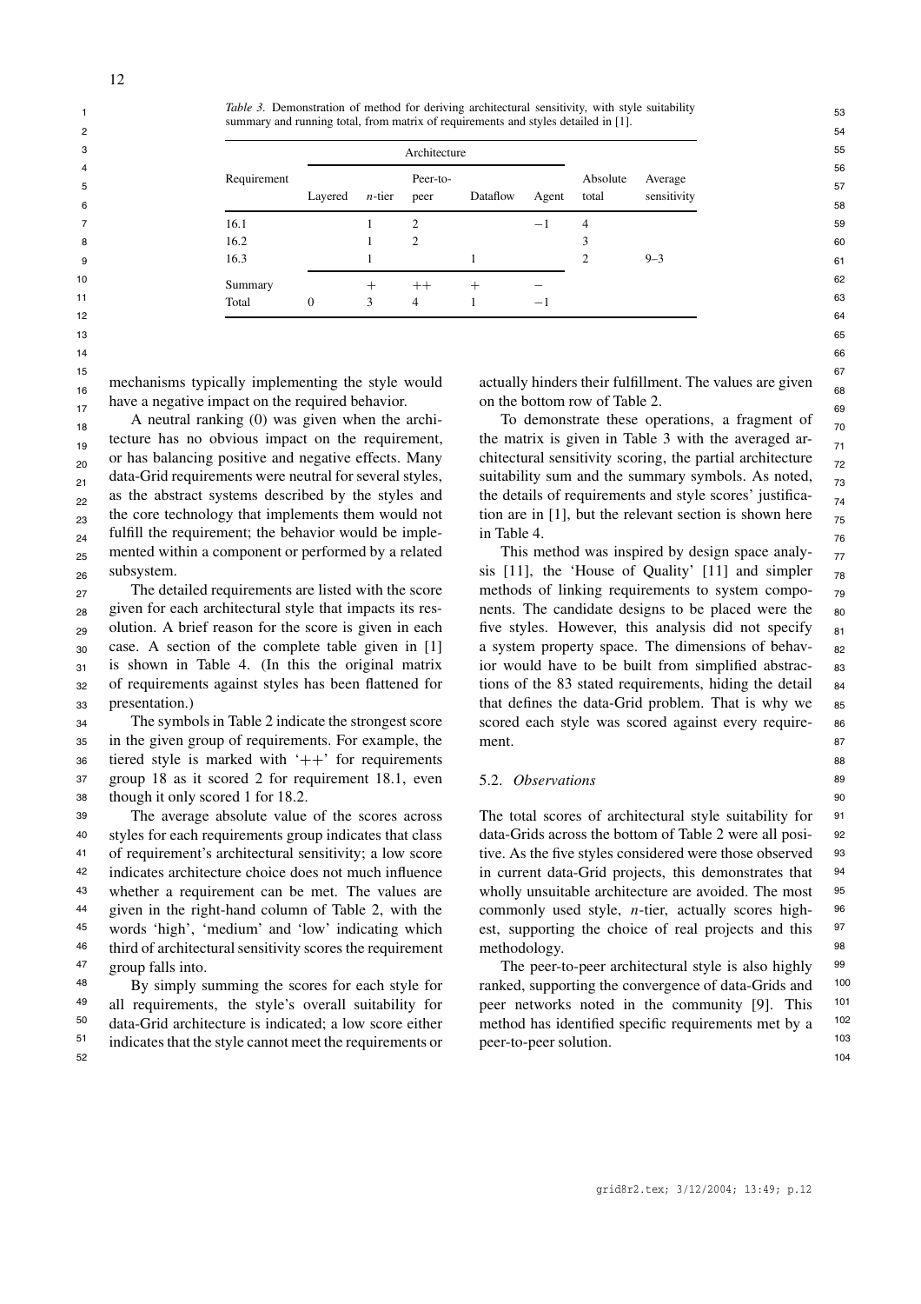13 65

14 and the contract of the contract of the contract of the contract of the contract of the contract of the contract of the contract of the contract of the contract of the contract of the contract of the contract of the con

1 1 Table 3. Demonstration of method for deriving architectural sensitivity, with style suitability 53 summary and running total, from matrix of requirements and styles detailed in [1].

| 2              |             |              |           | $\mathbf{A}$ |          |       | . .            |                        | 54 |
|----------------|-------------|--------------|-----------|--------------|----------|-------|----------------|------------------------|----|
| 3              |             | Architecture |           |              |          |       |                |                        | 55 |
| $\overline{4}$ |             |              |           |              |          |       |                |                        | 56 |
| 5              | Requirement |              |           | Peer-to-     |          |       | Absolute       | Average<br>sensitivity | 57 |
| 6              |             | Layered      | $n$ -tier | peer         | Dataflow | Agent | total          |                        | 58 |
| $\overline{7}$ | 16.1        |              |           |              |          | $-1$  | $\overline{4}$ |                        | 59 |
| 8              | 16.2        |              |           | 2            |          |       |                |                        | 60 |
| 9              | 16.3        |              |           |              |          |       | ◠              | $9 - 3$                | 61 |
| 10             | Summary     |              |           | $^{++}$      |          |       |                |                        | 62 |
| 11             | Total       | $\theta$     | 3         | 4            |          | $-1$  |                |                        | 63 |
| 12             |             |              |           |              |          |       |                |                        | 64 |
|                |             |              |           |              |          |       |                |                        |    |

15 67 mechanisms typically implementing the style would actually hinders their fulfillment. The values are given  $\frac{68}{68}$ have a negative impact on the required behavior. on the bottom row of Table 2.

18 A neutral ranking (0) was given when the archi- To demonstrate these operations, a fragment of  $\frac{1}{70}$ tecture has no obvious impact on the requirement, the matrix is given in Table 3 with the averaged ar-<sub>20</sub> or has balancing positive and negative effects. Many chitectural sensitivity scoring, the partial architecture <sub>72</sub>  $_{21}$  data-Grid requirements were neutral for several styles, suitability sum and the summary symbols. As noted,  $_{73}$  $_{22}$  as the abstract systems described by the styles and the details of requirements and style scores' justifica-<sub>23</sub> the core technology that implements them would not tion are in [1], but the relevant section is shown here  $_{75}$  $_{24}$  fulfill the requirement; the behavior would be imple- in Table 4.  $_{76}$ <sub>25</sub> mented within a component or performed by a related This method was inspired by design space analy- $_{26}$  subsystem.  $_{78}$  sis [11], the 'House of Quality' [11] and simpler  $_{78}$ A neutral ranking (0) was given when the archidata-Grid requirements were neutral for several styles, as the abstract systems described by the styles and subsystem.

27 The detailed requirements are listed with the score methods of linking requirements to system compo- $_{28}$  given for each architectural style that impacts its res- nents. The candidate designs to be placed were the  $_{80}$  $_{29}$  olution. A brief reason for the score is given in each five styles. However, this analysis did not specify  $_{81}$  $_{30}$  case. A section of the complete table given in [1] a system property space. The dimensions of behav- $_{31}$  is shown in Table 4. (In this the original matrix ior would have to be built from simplified abstrac-32 of requirements against styles has been flattened for tions of the 83 stated requirements, hiding the detail  $_{84}$ 33 presentation.) That is why we asset that defines the data-Grid problem. That is why we as The detailed requirements are listed with the score given for each architectural style that impacts its rescase. A section of the complete table given in [1] presentation.)

34 The symbols in Table 2 indicate the strongest score scored each style was scored against every require- 86 35 in the given group of requirements. For example, the ment. 36 88 tiered style is marked with '++' for requirements 37 group 18 as it scored 2 for requirement 18.1, even 5.2. Observations 38 though it only scored 1 for 18.2. The symbols in Table 2 indicate the strongest score

39 The average absolute value of the scores across The total scores of architectural style suitability for 91 40 styles for each requirements group indicates that class data-Grids across the bottom of Table 2 were all posi-41 of requirement's architectural sensitivity; a low score tive. As the five styles considered were those observed 93 <sup>42</sup> indicates architecture choice does not much influence in current data-Grid projects, this demonstrates that <sup>94</sup> 43 whether a requirement can be met. The values are wholly unsuitable architecture are avoided. The most 95 <sup>44</sup> given in the right-hand column of Table 2, with the commonly used style, *n*-tier, actually scores high- <sup>96</sup> 45 words 'high', 'medium' and 'low' indicating which est, supporting the choice of real projects and this 97 <sup>46</sup> third of architectural sensitivity scores the requirement methodology. <sup>47</sup> group falls into. The peer-to-peer architectural style is also highly <sup>99</sup> The average absolute value of the scores across styles for each requirements group indicates that class of requirement's architectural sensitivity; a low score indicates architecture choice does not much influence whether a requirement can be met. The values are given in the right-hand column of Table 2, with the words 'high', 'medium' and 'low' indicating which group falls into.

<sup>48</sup> By simply summing the scores for each style for ranked, supporting the convergence of data-Grids and <sup>100</sup> <sup>49</sup> all requirements, the style's overall suitability for peer networks noted in the community [9]. This <sup>101</sup>  $50$  data-Grid architecture is indicated; a low score either method has identified specific requirements met by a  $102$ <sup>51</sup> indicates that the style cannot meet the requirements or peer-to-peer solution. 52 104 By simply summing the scores for each style for data-Grid architecture is indicated; a low score either

actually hinders their fulfillment. The values are given on the bottom row of Table 2.

the matrix is given in Table 3 with the averaged architectural sensitivity scoring, the partial architecture tion are in [1], but the relevant section is shown here in Table 4.

This method was inspired by design space analyfive styles. However, this analysis did not specify ior would have to be built from simplified abstractions of the 83 stated requirements, hiding the detail ment.

### 5.2. *Observations*

methodology.

peer networks noted in the community [9]. This peer-to-peer solution.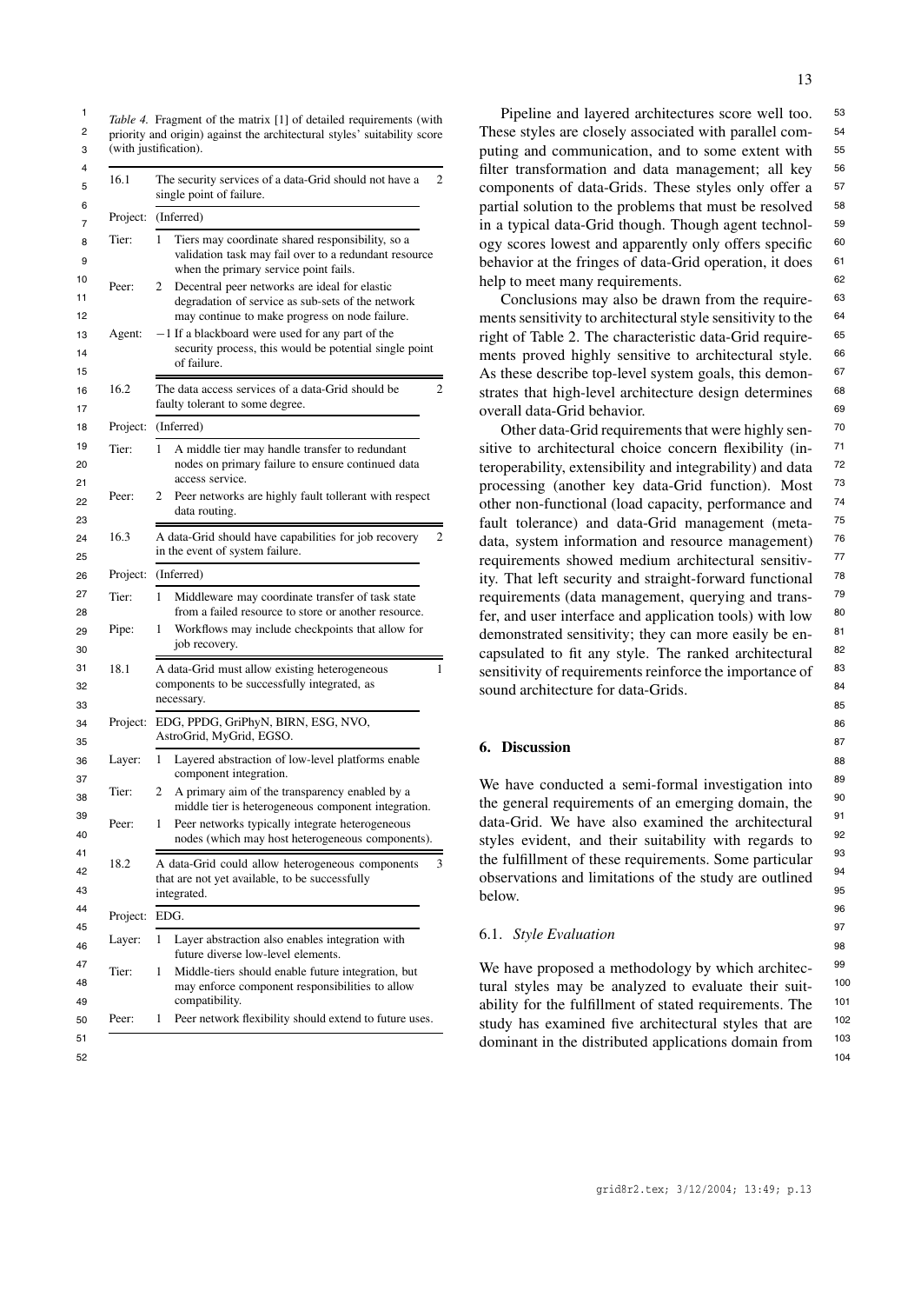<sup>1</sup> Table 4. Fragment of the matrix [1] of detailed requirements (with **Pipeline and layered architectures score well too.**  $53$ <sup>2</sup> priority and origin) against the architectural styles' suitability score These styles are closely associated with parallel com- <sup>54</sup> 3 55 puting and communication, and to some extent with 4 56 filter transformation and data management; all key

#### 6.1. *Style Evaluation*

<sup>49</sup> 10<sup>1</sup> 101 compatibility. The settlement of stated requirements. The <sup>101</sup> 101 50 Peer: I Peer network flexibility should extend to future uses. Study has examined five architectural styles that are <sup>102</sup> <sup>51</sup> 51 dominant in the distributed applications domain from <sup>103</sup>

| 5                   | 16.1          | The security services of a data-Grid should not have a<br>single point of failure.                        | $\overline{c}$   | $\min$ and $\min$ and $\min$ and $\min$ and $\min$<br>components of data-Grids. These styles only offer a                                                                | 57       |
|---------------------|---------------|-----------------------------------------------------------------------------------------------------------|------------------|--------------------------------------------------------------------------------------------------------------------------------------------------------------------------|----------|
| 6<br>$\overline{7}$ |               | Project: (Inferred)                                                                                       |                  | partial solution to the problems that must be resolved                                                                                                                   | 58<br>59 |
| 8<br>9              | Tier:         | Tiers may coordinate shared responsibility, so a<br>validation task may fail over to a redundant resource |                  | in a typical data-Grid though. Though agent technol-<br>ogy scores lowest and apparently only offers specific<br>behavior at the fringes of data-Grid operation, it does | 60<br>61 |
| 10<br>11            | Peer:         | when the primary service point fails.<br>Decentral peer networks are ideal for elastic<br>2               |                  | help to meet many requirements.<br>Conclusions may also be drawn from the require-                                                                                       | 62<br>63 |
| 12                  |               | degradation of service as sub-sets of the network<br>may continue to make progress on node failure.       |                  | ments sensitivity to architectural style sensitivity to the                                                                                                              | 64       |
| 13                  | Agent:        | $-1$ If a blackboard were used for any part of the                                                        |                  | right of Table 2. The characteristic data-Grid require-                                                                                                                  | 65       |
| 14                  |               | security process, this would be potential single point                                                    |                  | ments proved highly sensitive to architectural style.                                                                                                                    | 66       |
| 15                  |               | of failure.                                                                                               |                  | As these describe top-level system goals, this demon-                                                                                                                    | 67       |
| 16<br>17            | 16.2          | The data access services of a data-Grid should be<br>faulty tolerant to some degree.                      | $\sqrt{2}$       | strates that high-level architecture design determines<br>overall data-Grid behavior.                                                                                    | 68<br>69 |
| 18                  |               | Project: (Inferred)                                                                                       |                  | Other data-Grid requirements that were highly sen-                                                                                                                       | 70       |
| 19                  | Tier:         | 1 A middle tier may handle transfer to redundant                                                          |                  | sitive to architectural choice concern flexibility (in-                                                                                                                  | 71       |
| 20                  |               | nodes on primary failure to ensure continued data<br>access service.                                      |                  | teroperability, extensibility and integrability) and data                                                                                                                | 72       |
| 21                  | Peer:         | Peer networks are highly fault tollerant with respect<br>2                                                |                  | processing (another key data-Grid function). Most                                                                                                                        | 73       |
| 22                  |               | data routing.                                                                                             |                  | other non-functional (load capacity, performance and                                                                                                                     | 74       |
| 23                  | 16.3          | A data-Grid should have capabilities for job recovery                                                     | $\boldsymbol{2}$ | fault tolerance) and data-Grid management (meta-                                                                                                                         | 75       |
| 24<br>25            |               | in the event of system failure.                                                                           |                  | data, system information and resource management)                                                                                                                        | 76<br>77 |
| 26                  | Project:      | (Inferred)                                                                                                |                  | requirements showed medium architectural sensitiv-<br>ity. That left security and straight-forward functional                                                            | 78       |
| 27                  | Tier:         | 1 Middleware may coordinate transfer of task state                                                        |                  | requirements (data management, querying and trans-                                                                                                                       | 79       |
| 28                  |               | from a failed resource to store or another resource.                                                      |                  | fer, and user interface and application tools) with low                                                                                                                  | 80       |
| 29                  | Pipe:         | Workflows may include checkpoints that allow for<br>1                                                     |                  | demonstrated sensitivity; they can more easily be en-                                                                                                                    | 81       |
| 30                  |               | job recovery.                                                                                             |                  | capsulated to fit any style. The ranked architectural                                                                                                                    | 82       |
| 31                  | 18.1          | A data-Grid must allow existing heterogeneous                                                             | $\mathbf{1}$     | sensitivity of requirements reinforce the importance of                                                                                                                  | 83       |
| 32                  |               | components to be successfully integrated, as                                                              |                  | sound architecture for data-Grids.                                                                                                                                       | 84       |
| 33                  |               | necessary.                                                                                                |                  |                                                                                                                                                                          | 85       |
| 34                  |               | Project: EDG, PPDG, GriPhyN, BIRN, ESG, NVO,<br>AstroGrid, MyGrid, EGSO.                                  |                  |                                                                                                                                                                          | 86       |
| 35                  |               |                                                                                                           |                  | 6. Discussion                                                                                                                                                            | 87       |
| 36                  | Layer:        | 1 Layered abstraction of low-level platforms enable<br>component integration.                             |                  |                                                                                                                                                                          | 88       |
| 37                  | Tier:         | A primary aim of the transparency enabled by a<br>2                                                       |                  | We have conducted a semi-formal investigation into                                                                                                                       | 89       |
| 38<br>39            |               | middle tier is heterogeneous component integration.                                                       |                  | the general requirements of an emerging domain, the                                                                                                                      | 90<br>91 |
| 40                  | Peer:         | Peer networks typically integrate heterogeneous                                                           |                  | data-Grid. We have also examined the architectural                                                                                                                       | 92       |
| 41                  |               | nodes (which may host heterogeneous components).                                                          |                  | styles evident, and their suitability with regards to                                                                                                                    | 93       |
| 42                  | 18.2          | A data-Grid could allow heterogeneous components                                                          | 3                | the fulfillment of these requirements. Some particular                                                                                                                   | 94       |
| 43                  |               | that are not yet available, to be successfully<br>integrated.                                             |                  | observations and limitations of the study are outlined                                                                                                                   | 95       |
| 44                  |               |                                                                                                           |                  | below.                                                                                                                                                                   | 96       |
| 45                  | Project: EDG. |                                                                                                           |                  | 6.1. Style Evaluation                                                                                                                                                    | 97       |
| 46                  | Layer:        | 1 Layer abstraction also enables integration with<br>future diverse low-level elements.                   |                  |                                                                                                                                                                          | 98       |
| 47                  | Tier:         | Middle-tiers should enable future integration, but<br>1                                                   |                  | We have proposed a methodology by which architec-                                                                                                                        | 99       |
| 48                  |               | may enforce component responsibilities to allow                                                           |                  | tural styles may be analyzed to evaluate their suit-                                                                                                                     | 100      |
| 49                  |               | compatibility                                                                                             |                  | $1.321$ $0.041$ $0.041$ $0.0121$ $0.041$ $0.041$ $0.041$                                                                                                                 | 101      |

Peer: 1 Peer network flexibility should extend to future uses.

*Table 4.* Fragment of the matrix [1] of detailed requirements (with priority and origin) against the architectural styles' suitability score

(with justification).

52 104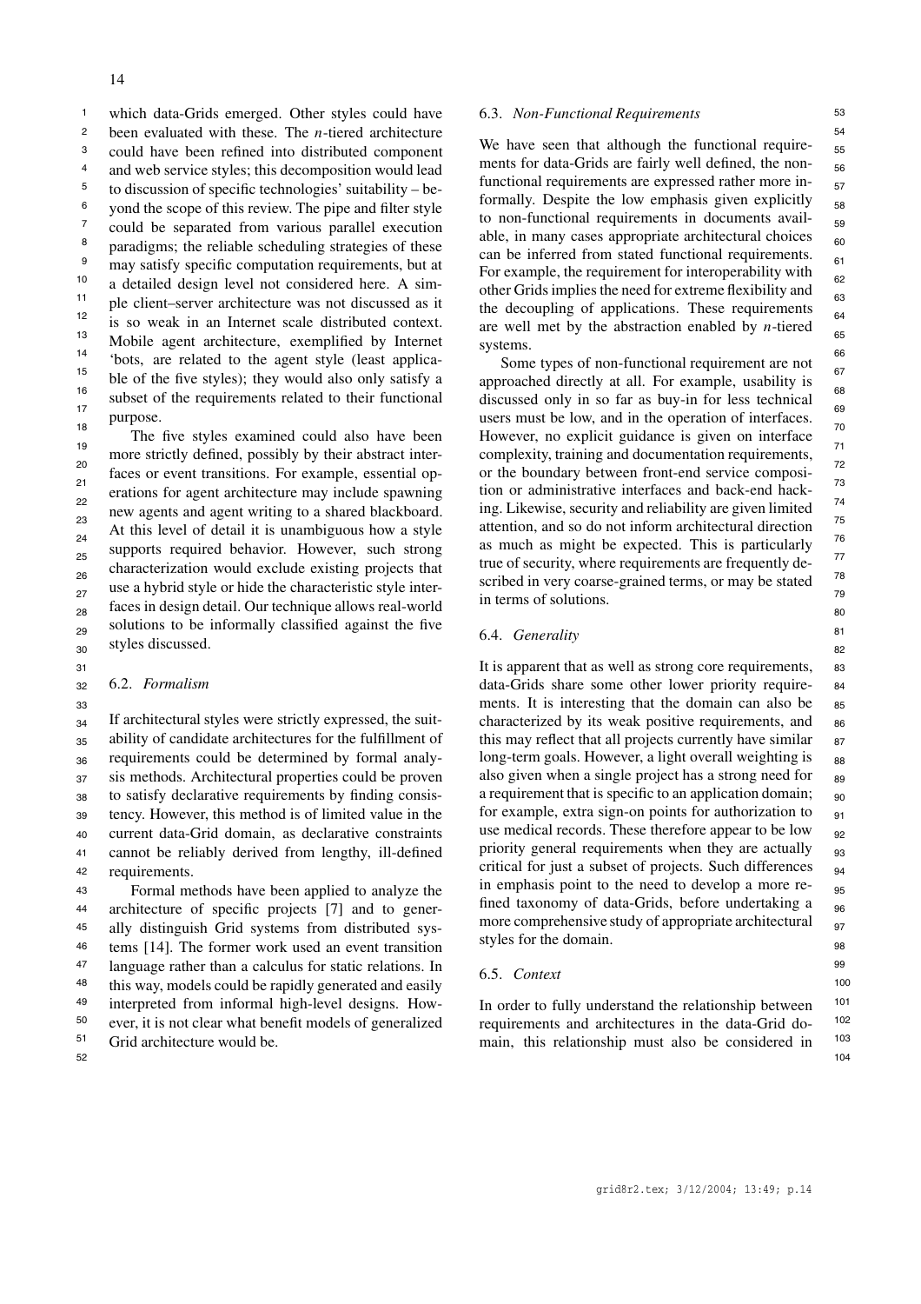<sup>1</sup> which data-Grids emerged. Other styles could have 6.3. Non-Functional Requirements 53 <sup>2</sup> been evaluated with these. The *n*-tiered architecture  $\frac{1}{2}$  been evaluated with these. The *n*-tiered architecture <sup>3</sup> could have been refined into distributed component we have seen that annough the functional require-<sup>4</sup> and web service styles; this decomposition would lead them is for data-order and we had the hou- $5$  to discussion of specific technologies' suitability – be-<br> $\frac{1}{2}$   $\frac{1}{2}$   $\frac{1}{2}$   $\frac{1}{2}$   $\frac{1}{2}$   $\frac{1}{2}$   $\frac{1}{2}$   $\frac{1}{2}$   $\frac{1}{2}$   $\frac{1}{2}$   $\frac{1}{2}$   $\frac{1}{2}$   $\frac{1}{2}$   $\frac{1}{2}$   $\frac{1}{2}$   $\frac{1}{2}$ <sup>6</sup> yond the scope of this review. The pipe and filter style  $\frac{1}{2}$  for each continuous proposal proposal in the scope of this review.  $7 \text{ could be separated from various parallel execution}$   $\omega$  being in means a parameter and the separated choices  $\omega$  $\frac{8}{20}$  paradigms; the reliable scheduling strategies of these  $\frac{1}{200}$  be inferred from stated functional requirements <sup>9</sup> may satisfy specific computation requirements, but at  $\frac{1}{100}$  For example, the requirement for interpretability with <sup>10</sup> a detailed design level not considered here. A sim-<br>other Grids implies the need for extreme flexibility and <sup>11</sup> ple client–server architecture was not discussed as it the decounling of annications. These requirements  $\frac{63}{63}$ <sup>12</sup> is so weak in an Internet scale distributed context. <sub>are well</sub> met by the abstraction enabled by *n*-tiered 13 Mobile agent architecture, exemplified by Internet systems. <sup>14</sup> 'bots, are related to the agent style (least applica-<br>Some types of non-functional requirement are not <sup>15</sup> ble of the five styles); they would also only satisfy a **proposite approached directly at all.** For example, usability is  $\frac{67}{2}$ <sup>16</sup> subset of the requirements related to their functional discussed only in so far as buy-in for less technical <sup>68</sup> <sup>17</sup> purpose. The contract of the series must be low, and in the operation of interfaces. purpose.

<sup>19</sup> more strictly defined, possibly by their abstract inter-<br>complexity, training and documentation requirements,  $\frac{20}{20}$  faces or event transitions. For example, essential op-<br>or the boundary between front-end service composi- $\frac{21}{10}$  erations for agent architecture may include spawning tion or administrative interfaces and back-end hack- $\frac{22}{10}$  new agents and agent writing to a shared blackboard. ing. Likewise, security and reliability are given limited  $\frac{74}{10}$ 23 At this level of detail it is unambiguous how a style attention, and so do not inform architectural direction  $15$  $\frac{24}{\text{subfooted}}$  as much as might be expected. This is particularly  $\frac{76}{\text{subfooted}}$  $\frac{25}{25}$  explores required existing research  $\frac{25}{27}$  true of security, where requirements are frequently de- $\frac{26}{100}$  and the construction would be characteristic style inter-<br>scribed in very coarse-grained terms, or may be stated 27 use a hybrid style or hide the characteristic style inter-<br><sup>27</sup> in terms of solutions  $_{28}$  faces in design detail. Our technique allows real-world  $_{111}$  is the solutions.  $29$  solutions to be informally classified against the five  $6.4$  Generality  $30^{\circ}$  styles discussed.  $82^{\circ}$ The five styles examined could also have been more strictly defined, possibly by their abstract interfaces or event transitions. For example, essential operations for agent architecture may include spawning new agents and agent writing to a shared blackboard. At this level of detail it is unambiguous how a style supports required behavior. However, such strong characterization would exclude existing projects that styles discussed.

### 6.2. *Formalism*

 $_{34}$  If architectural styles were strictly expressed, the suit-<br>characterized by its weak positive requirements, and  $_{86}$  $_{35}$  ability of candidate architectures for the fulfillment of this may reflect that all projects currently have similar  $_{87}$  $_{36}$  requirements could be determined by formal analy-<br>long-term goals. However, a light overall weighting is  $_{88}$ 37 sis methods. Architectural properties could be proven also given when a single project has a strong need for  $_{89}$ 38 to satisfy declarative requirements by finding consis-<br>a requirement that is specific to an application domain;  $\theta_90$  $39$  tency. However, this method is of limited value in the for example, extra sign-on points for authorization to  $_{91}$ 40 current data-Grid domain, as declarative constraints use medical records. These therefore appear to be low  $_{92}$ 41 cannot be reliably derived from lengthy, ill-defined priority general requirements when they are actually  $_{93}$ external for just a subset of projects. Such differences  $_{94}$ If architectural styles were strictly expressed, the suitrequirements.

43 Formal methods have been applied to analyze the the methods point to the need to develop a more te- $44$  architecture of specific projects [7] and to gener-<br> $44$  architecture of specific projects [7] and to gener-45 ally distinguish Grid systems from distributed sys-<br>45 ally distinguish Grid systems from distributed sys-46 tems [14]. The former work used an event transition styles for the domain. <sup>47</sup> language rather than a calculus for static relations. In  $\frac{65}{100}$  context <sup>48</sup> this way, models could be rapidly generated and easily the could be the country of the state of the state of the state of the state of the state of the state of the state of the state of the state of the state of the <sup>49</sup> interpreted from informal high-level designs. How- In order to fully understand the relationship between  $101$ <sup>50</sup> ever, it is not clear what benefit models of generalized requirements and architectures in the data-Grid do-<sup>51</sup> Grid architecture would be. The main, this relationship must also be considered in <sup>103</sup> 52 104 Grid architecture would be.

### 6.3. *Non-Functional Requirements*

We have seen that although the functional requirements for data-Grids are fairly well defined, the nonfunctional requirements are expressed rather more informally. Despite the low emphasis given explicitly to non-functional requirements in documents available, in many cases appropriate architectural choices can be inferred from stated functional requirements. For example, the requirement for interoperability with other Grids implies the need for extreme flexibility and the decoupling of applications. These requirements are well met by the abstraction enabled by *n*-tiered systems.

<sup>18</sup> The five styles examined could also have been However, no explicit guidance is given on interface  $\frac{70}{14}$ Some types of non-functional requirement are not approached directly at all. For example, usability is discussed only in so far as buy-in for less technical in terms of solutions.

## 6.4. *Generality*

31 83 It is apparent that as well as strong core requirements, 32 6.2. Formalism Superson Contact State State State State State State State State State State State State State State State State State State State State State State State State State State State State State State State S 33 33 **1981** ments. It is interesting that the domain can also be  $\epsilon$ this may reflect that all projects currently have similar long-term goals. However, a light overall weighting is also given when a single project has a strong need for a requirement that is specific to an application domain; for example, extra sign-on points for authorization to use medical records. These therefore appear to be low priority general requirements when they are actually in emphasis point to the need to develop a more refined taxonomy of data-Grids, before undertaking a more comprehensive study of appropriate architectural styles for the domain.

In order to fully understand the relationship between requirements and architectures in the data-Grid do-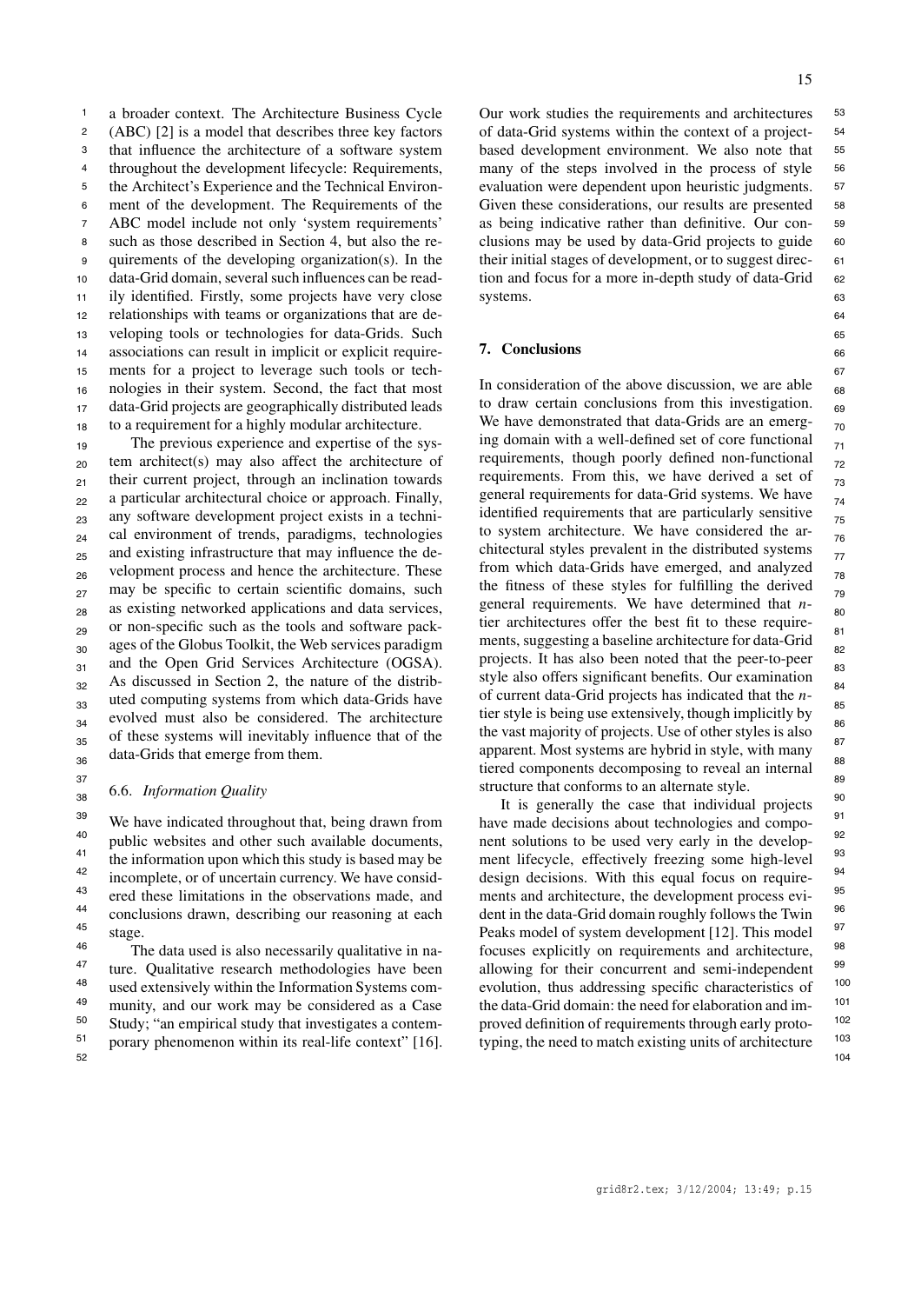<sup>1</sup> a broader context. The Architecture Business Cycle Our work studies the requirements and architectures <sup>53</sup> <sup>2</sup> (ABC) [2] is a model that describes three key factors of data-Grid systems within the context of a project-<sup>3</sup> that influence the architecture of a software system based development environment. We also note that <sup>55</sup> 4 throughout the development lifecycle: Requirements, many of the steps involved in the process of style 56 57 the Architect's Experience and the Technical Environ-<br>evaluation were dependent upon heuristic judgments. 57 6 ment of the development. The Requirements of the Given these considerations, our results are presented 58 7 ABC model include not only 'system requirements' as being indicative rather than definitive. Our con-8 such as those described in Section 4, but also the re-clusions may be used by data-Grid projects to guide 60 9 quirements of the developing organization(s). In the their initial stages of development, or to suggest direc-10 data-Grid domain, several such influences can be read-<br>10 tion and focus for a more in-depth study of data-Grid 62 <sup>11</sup> ily identified. Firstly, some projects have very close systems. 63 12 relationships with teams or organizations that are de-13 veloping tools or technologies for data-Grids. Such the state of the state of the state of the state of the state of the state of the state of the state of the state of the state of the state of the state of the state o <sup>14</sup> associations can result in implicit or explicit require- **7. Conclusions** 66 15 67 ments for a project to leverage such tools or tech- $16$  nologies in their system. Second, the fact that most ln consideration of the above discussion, we are able  $_{68}$  $_{17}$  data-Grid projects are geographically distributed leads to draw certain conclusions from this investigation.  $_{69}$ 18 to a requirement for a highly modular architecture. We have demonstrated that data-Grids are an emerg-  $_{70}$ a broader context. The Architecture Business Cycle that influence the architecture of a software system throughout the development lifecycle: Requirements, the Architect's Experience and the Technical Environment of the development. The Requirements of the ABC model include not only 'system requirements' such as those described in Section 4, but also the redata-Grid domain, several such influences can be read-

19 The previous experience and expertise of the sys-  $\frac{10}{2}$  mg domain with a well-defined set of core functional  $\frac{1}{71}$  $_{20}$  tem architect(s) may also affect the architecture of requirements, though poorly defined non-functional  $_{72}$  $_{21}$  their current project, through an inclination towards requirements. From this, we have derived a set of  $_{73}$ <sub>22</sub> a particular architectural choice or approach. Finally, general requirements for data-Grid systems. We have  $\frac{1}{74}$ any software development project exists in a techni-<br> $\frac{1}{23}$  dentified requirements that are particularly sensitive  $\frac{1}{75}$  $_{24}$  cal environment of trends, paradigms, technologies to system architecture. We have considered the ar- $_{25}$  and existing infrastructure that may influence the de-<br> $\frac{C}{17}$  chitectural styles prevalent in the distributed systems  $_{26}$  velopment process and hence the architecture. These  $\frac{1}{26}$  from which data-Grids have emerged, and analyzed  $\frac{1}{78}$  $_{27}$  may be specific to certain scientific domains, such the fitness of these styles for fulfilling the derived  $_{79}$ <sub>28</sub> as existing networked applications and data services, general requirements. We have determined that  $n_{\text{eq}}$ <sub>80</sub> <sub>29</sub> or non-specific such as the tools and software pack-<br> $\frac{\text{ter}$  architectures offer the best fit to these require- $_{30}$  ages of the Globus Toolkit, the Web services paradigm ments, suggesting a baseline architecture for data-Grid  $_{31}$  and the Open Grid Services Architecture (OGSA). projects. It has also been noted that the peer-to-peer  $_{83}$  $\frac{32}{2}$  As discussed in Section 2, the nature of the distrib-<br> $\frac{32}{2}$  As discussed in Section 2, the nature of the distrib-<sub>33</sub> uted computing systems from which data-Grids have of current data-Grid projects has indicated that the  $n$ -<sub>34</sub> evolved must also be considered. The architecture the style is being use extensively, though implicitly by 35 of these systems will inevitably influence that of the the vast majority of projects. Use of other styles is also  $\frac{87}{2}$ data-Grids that emerge from them.

### 6.6. *Information Quality*

<sup>40</sup> public websites and other such available documents, nent solutions to be used very early in the develop-<sup>41</sup> the information upon which this study is based may be ment lifecycle, effectively freezing some high-level <sup>93</sup> <sup>42</sup> incomplete, or of uncertain currency. We have consid-<br>design decisions. With this equal focus on require-<sup>43</sup> ered these limitations in the observations made, and ments and architecture, the development process evi-<sup>44</sup> conclusions drawn, describing our reasoning at each dent in the data-Grid domain roughly follows the Twin<sup>96</sup> <sup>45</sup> stage. Stage and the stage of system development [12]. This model <sup>97</sup> stage. We have indicated throughout that, being drawn from the information upon which this study is based may be stage.

<sup>47</sup> ture. Qualitative research methodologies have been allowing for their concurrent and semi-independent <sup>99</sup> <sup>48</sup> used extensively within the Information Systems com-<br>evolution, thus addressing specific characteristics of <sup>100</sup> <sup>49</sup> munity, and our work may be considered as a Case the data-Grid domain: the need for elaboration and im-<sup>50</sup> Study; "an empirical study that investigates a contem-<br><sup>50</sup> Study; "an empirical study that investigates a contem-<br>proved definition of requirements through early proto- $51$  porary phenomenon within its real-life context" [16]. typing, the need to match existing units of architecture  $103$ 52 104 The data used is also necessarily qualitative in nature. Qualitative research methodologies have been porary phenomenon within its real-life context" [16].

of data-Grid systems within the context of a projecttheir initial stages of development, or to suggest direcsystems.

#### **7. Conclusions**

<sup>36</sup> and ones that emerge from them.<br>tiered components decomposing to reveal an internal <sup>37</sup> 89<br>
structure that conforms to an alternate style. In consideration of the above discussion, we are able to draw certain conclusions from this investigation. We have demonstrated that data-Grids are an emerging domain with a well-defined set of core functional requirements, though poorly defined non-functional requirements. From this, we have derived a set of general requirements for data-Grid systems. We have identified requirements that are particularly sensitive to system architecture. We have considered the architectural styles prevalent in the distributed systems from which data-Grids have emerged, and analyzed the fitness of these styles for fulfilling the derived general requirements. We have determined that *n*tier architectures offer the best fit to these requirements, suggesting a baseline architecture for data-Grid projects. It has also been noted that the peer-to-peer style also offers significant benefits. Our examination of current data-Grid projects has indicated that the *n*tier style is being use extensively, though implicitly by the vast majority of projects. Use of other styles is also apparent. Most systems are hybrid in style, with many

 $\frac{38}{38}$  bis. *Hyprimation galancy*  $\frac{90}{38}$  It is generally the case that individual projects  $\frac{90}{38}$ <sup>39</sup> We have indicated throughout that, being drawn from have made decisions about technologies and compo-<sup>46</sup> The data used is also necessarily qualitative in na-<br>focuses explicitly on requirements and architecture, <sup>98</sup> nent solutions to be used very early in the developdesign decisions. With this equal focus on requirements and architecture, the development process evident in the data-Grid domain roughly follows the Twin evolution, thus addressing specific characteristics of the data-Grid domain: the need for elaboration and improved definition of requirements through early proto